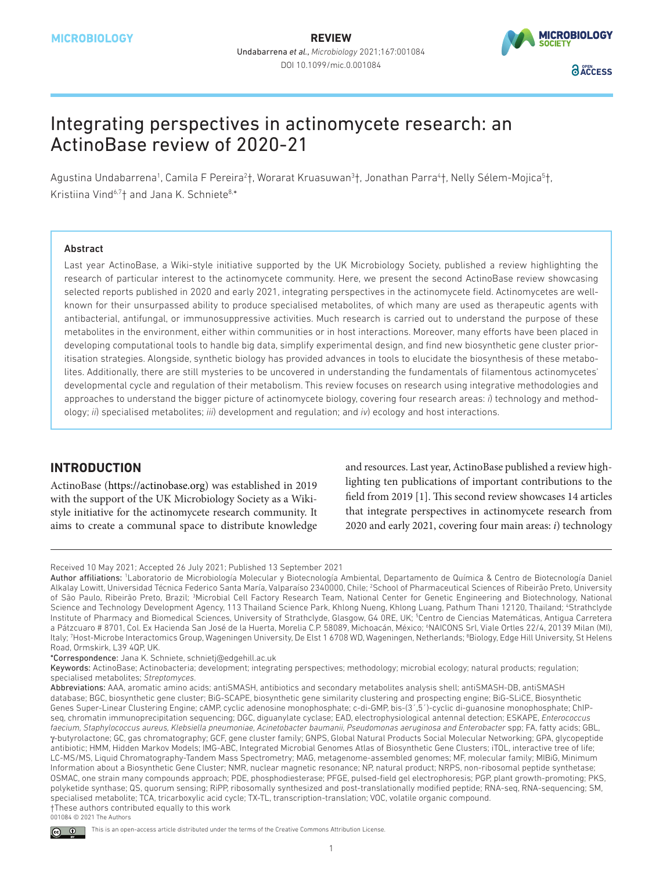

# Integrating perspectives in actinomycete research: an ActinoBase review of 2020-21

Agustina Undabarrena<sup>1</sup>, Camila F Pereira<sup>2</sup>†, Worarat Kruasuwan<sup>3</sup>†, Jonathan Parra<sup>4</sup>†, Nelly Sélem-Mojica<sup>5</sup>†, Kristiina Vind<sup>6,7</sup>† and Jana K. Schniete<sup>8,\*</sup>

#### Abstract

Last year ActinoBase, a Wiki-style initiative supported by the UK Microbiology Society, published a review highlighting the research of particular interest to the actinomycete community. Here, we present the second ActinoBase review showcasing selected reports published in 2020 and early 2021, integrating perspectives in the actinomycete field. Actinomycetes are wellknown for their unsurpassed ability to produce specialised metabolites, of which many are used as therapeutic agents with antibacterial, antifungal, or immunosuppressive activities. Much research is carried out to understand the purpose of these metabolites in the environment, either within communities or in host interactions. Moreover, many efforts have been placed in developing computational tools to handle big data, simplify experimental design, and find new biosynthetic gene cluster prioritisation strategies. Alongside, synthetic biology has provided advances in tools to elucidate the biosynthesis of these metabolites. Additionally, there are still mysteries to be uncovered in understanding the fundamentals of filamentous actinomycetes' developmental cycle and regulation of their metabolism. This review focuses on research using integrative methodologies and approaches to understand the bigger picture of actinomycete biology, covering four research areas: *i*) technology and methodology; *ii*) specialised metabolites; *iii*) development and regulation; and *iv*) ecology and host interactions.

## **INTRODUCTION**

ActinoBase [\(https://actinobase.org](https://actinobase.org)) was established in 2019 with the support of the UK Microbiology Society as a Wikistyle initiative for the actinomycete research community. It aims to create a communal space to distribute knowledge and resources. Last year, ActinoBase published a review highlighting ten publications of important contributions to the field from 2019 [\[1](#page-13-0)]. This second review showcases 14 articles that integrate perspectives in actinomycete research from 2020 and early 2021, covering four main areas: *i*) technology

\*Correspondence: Jana K. Schniete, schnietj@edgehill.ac.uk

Received 10 May 2021; Accepted 26 July 2021; Published 13 September 2021

Author affiliations: <sup>1</sup>Laboratorio de Microbiología Molecular y Biotecnología Ambiental, Departamento de Química & Centro de Biotecnología Daniel Alkalay Lowitt, Universidad Técnica Federico Santa María, Valparaíso 2340000, Chile; 2 School of Pharmaceutical Sciences of Ribeirão Preto, University of São Paulo, Ribeirão Preto, Brazil; <sup>3</sup>Microbial Cell Factory Research Team, National Center for Genetic Engineering and Biotechnology, National Science and Technology Development Agency, 113 Thailand Science Park, Khlong Nueng, Khlong Luang, Pathum Thani 12120, Thailand; 4 Strathclyde Institute of Pharmacy and Biomedical Sciences, University of Strathclyde, Glasgow, G4 0RE, UK; 5 Centro de Ciencias Matemáticas, Antigua Carretera a Pátzcuaro # 8701, Col. Ex Hacienda San José de la Huerta, Morelia C.P. 58089, Michoacán, México; 6 NAICONS Srl, Viale Ortles 22/4, 20139 Milan (MI), ltaly; "Host-Microbe Interactomics Group, Wageningen University, De Elst 1 6708 WD, Wageningen, Netherlands; <sup>8</sup>Biology, Edge Hill University, St Helens Road, Ormskirk, L39 4QP, UK.

Keywords: ActinoBase; Actinobacteria; development; integrating perspectives; methodology; microbial ecology; natural products; regulation; specialised metabolites; *Streptomyces*.

Abbreviations: AAA, aromatic amino acids; antiSMASH, antibiotics and secondary metabolites analysis shell; antiSMASH-DB, antiSMASH database; BGC, biosynthetic gene cluster; BiG-SCAPE, biosynthetic gene similarity clustering and prospecting engine; BiG-SLiCE, Biosynthetic Genes Super-Linear Clustering Engine; cAMP, cyclic adenosine monophosphate; c-di-GMP, bis-(3´,5´)-cyclic di-guanosine monophosphate; ChIPseq, chromatin immunoprecipitation sequencing; DGC, diguanylate cyclase; EAD, electrophysiological antennal detection; ESKAPE, *Enterococcus faecium, Staphylococcus aureus, Klebsiella pneumoniae, Acinetobacter baumanii, Pseudomonas aeruginosa and Enterobacter* spp; FA, fatty acids; GBL, γ-butyrolactone; GC, gas chromatography; GCF, gene cluster family; GNPS, Global Natural Products Social Molecular Networking; GPA, glycopeptide antibiotic; HMM, Hidden Markov Models; IMG-ABC, Integrated Microbial Genomes Atlas of Biosynthetic Gene Clusters; iTOL, interactive tree of life; LC-MS/MS, Liquid Chromatography-Tandem Mass Spectrometry; MAG, metagenome-assembled genomes; MF, molecular family; MIBiG, Minimum Information about a Biosynthetic Gene Cluster; NMR, nuclear magnetic resonance; NP, natural product; NRPS, non-ribosomal peptide synthetase; OSMAC, one strain many compounds approach; PDE, phosphodiesterase; PFGE, pulsed-field gel electrophoresis; PGP, plant growth-promoting; PKS, polyketide synthase; QS, quorum sensing; RiPP, ribosomally synthesized and post-translationally modified peptide; RNA-seq, RNA-sequencing; SM, specialised metabolite; TCA, tricarboxylic acid cycle; TX-TL, transcription-translation; VOC, volatile organic compound. †These authors contributed equally to this work 001084 © 2021 The Authors

 $\odot$   $\odot$ This is an open-access article distributed under the terms of the Creative Commons Attribution License.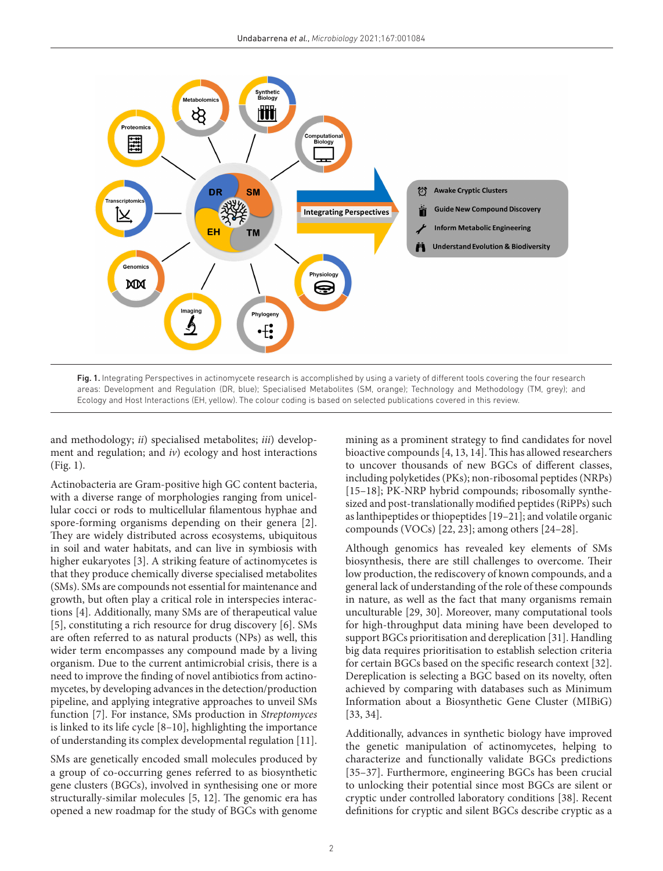

<span id="page-1-0"></span>Fig. 1. Integrating Perspectives in actinomycete research is accomplished by using a variety of different tools covering the four research areas: Development and Regulation (DR, blue); Specialised Metabolites (SM, orange); Technology and Methodology (TM, grey); and Ecology and Host Interactions (EH, yellow). The colour coding is based on selected publications covered in this review.

and methodology; *ii*) specialised metabolites; *iii*) development and regulation; and *iv*) ecology and host interactions ([Fig. 1\)](#page-1-0).

Actinobacteria are Gram-positive high GC content bacteria, with a diverse range of morphologies ranging from unicellular cocci or rods to multicellular filamentous hyphae and spore-forming organisms depending on their genera [\[2](#page-13-1)]. They are widely distributed across ecosystems, ubiquitous in soil and water habitats, and can live in symbiosis with higher eukaryotes [\[3\]](#page-13-2). A striking feature of actinomycetes is that they produce chemically diverse specialised metabolites (SMs). SMs are compounds not essential for maintenance and growth, but often play a critical role in interspecies interactions [\[4](#page-13-3)]. Additionally, many SMs are of therapeutical value [[5\]](#page-13-4), constituting a rich resource for drug discovery [[6](#page-13-5)]. SMs are often referred to as natural products (NPs) as well, this wider term encompasses any compound made by a living organism. Due to the current antimicrobial crisis, there is a need to improve the finding of novel antibiotics from actinomycetes, by developing advances in the detection/production pipeline, and applying integrative approaches to unveil SMs function [\[7](#page-13-6)]. For instance, SMs production in *Streptomyces* is linked to its life cycle [\[8–10\]](#page-13-7), highlighting the importance of understanding its complex developmental regulation [[11](#page-13-8)].

SMs are genetically encoded small molecules produced by a group of co-occurring genes referred to as biosynthetic gene clusters (BGCs), involved in synthesising one or more structurally-similar molecules [[5, 12](#page-13-4)]. The genomic era has opened a new roadmap for the study of BGCs with genome

mining as a prominent strategy to find candidates for novel bioactive compounds [[4, 13, 14\]](#page-13-3). This has allowed researchers to uncover thousands of new BGCs of different classes, including polyketides (PKs); non-ribosomal peptides (NRPs) [[15–18\]](#page-13-9); PK-NRP hybrid compounds; ribosomally synthesized and post-translationally modified peptides (RiPPs) such as lanthipeptides or thiopeptides [\[19–21](#page-13-10)]; and volatile organic compounds (VOCs) [\[22, 23\]](#page-13-11); among others [\[24–28\]](#page-13-12).

Although genomics has revealed key elements of SMs biosynthesis, there are still challenges to overcome. Their low production, the rediscovery of known compounds, and a general lack of understanding of the role of these compounds in nature, as well as the fact that many organisms remain unculturable [[29, 30](#page-13-13)]. Moreover, many computational tools for high-throughput data mining have been developed to support BGCs prioritisation and dereplication [[31](#page-13-14)]. Handling big data requires prioritisation to establish selection criteria for certain BGCs based on the specific research context [[32](#page-13-15)]. Dereplication is selecting a BGC based on its novelty, often achieved by comparing with databases such as Minimum Information about a Biosynthetic Gene Cluster (MIBiG) [[33, 34\]](#page-13-16).

Additionally, advances in synthetic biology have improved the genetic manipulation of actinomycetes, helping to characterize and functionally validate BGCs predictions [[35–37\]](#page-13-17). Furthermore, engineering BGCs has been crucial to unlocking their potential since most BGCs are silent or cryptic under controlled laboratory conditions [\[38](#page-13-18)]. Recent definitions for cryptic and silent BGCs describe cryptic as a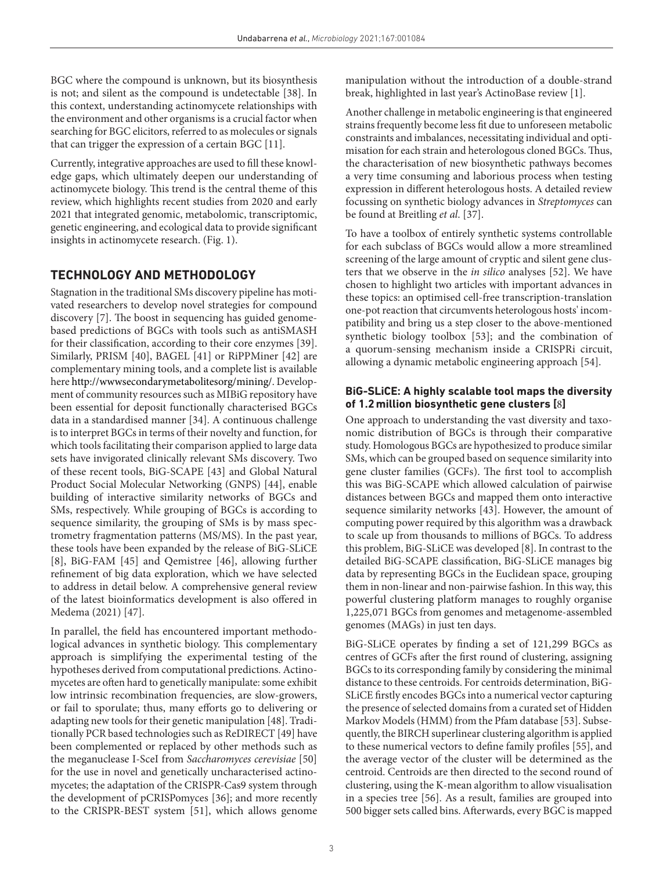BGC where the compound is unknown, but its biosynthesis is not; and silent as the compound is undetectable [[38](#page-13-18)]. In this context, understanding actinomycete relationships with the environment and other organisms is a crucial factor when searching for BGC elicitors, referred to as molecules or signals that can trigger the expression of a certain BGC [[11\]](#page-13-8).

Currently, integrative approaches are used to fill these knowledge gaps, which ultimately deepen our understanding of actinomycete biology. This trend is the central theme of this review, which highlights recent studies from 2020 and early 2021 that integrated genomic, metabolomic, transcriptomic, genetic engineering, and ecological data to provide significant insights in actinomycete research. ([Fig. 1\)](#page-1-0).

## **TECHNOLOGY AND METHODOLOGY**

Stagnation in the traditional SMs discovery pipeline has motivated researchers to develop novel strategies for compound discovery [[7\]](#page-13-6). The boost in sequencing has guided genomebased predictions of BGCs with tools such as antiSMASH for their classification, according to their core enzymes [[39](#page-13-19)]. Similarly, PRISM [\[40](#page-13-20)], BAGEL [[41\]](#page-13-21) or RiPPMiner [[42](#page-14-0)] are complementary mining tools, and a complete list is available here<http://wwwsecondarymetabolitesorg/mining/>. Development of community resources such as MIBiG repository have been essential for deposit functionally characterised BGCs data in a standardised manner [\[34\]](#page-13-22). A continuous challenge is to interpret BGCs in terms of their novelty and function, for which tools facilitating their comparison applied to large data sets have invigorated clinically relevant SMs discovery. Two of these recent tools, BiG-SCAPE [[43](#page-14-1)] and Global Natural Product Social Molecular Networking (GNPS) [[44](#page-14-2)], enable building of interactive similarity networks of BGCs and SMs, respectively. While grouping of BGCs is according to sequence similarity, the grouping of SMs is by mass spectrometry fragmentation patterns (MS/MS). In the past year, these tools have been expanded by the release of BiG-SLiCE [[8\]](#page-13-7), BiG-FAM [\[45](#page-14-3)] and Qemistree [[46](#page-14-4)], allowing further refinement of big data exploration, which we have selected to address in detail below. A comprehensive general review of the latest bioinformatics development is also offered in Medema (2021) [[47](#page-14-5)].

In parallel, the field has encountered important methodological advances in synthetic biology. This complementary approach is simplifying the experimental testing of the hypotheses derived from computational predictions. Actinomycetes are often hard to genetically manipulate: some exhibit low intrinsic recombination frequencies, are slow-growers, or fail to sporulate; thus, many efforts go to delivering or adapting new tools for their genetic manipulation [\[48\]](#page-14-6). Traditionally PCR based technologies such as ReDIRECT [\[49\]](#page-14-7) have been complemented or replaced by other methods such as the meganuclease I-SceI from *Saccharomyces cerevisiae* [[50\]](#page-14-8) for the use in novel and genetically uncharacterised actinomycetes; the adaptation of the CRISPR-Cas9 system through the development of pCRISPomyces [\[36](#page-13-23)]; and more recently to the CRISPR-BEST system [\[51\]](#page-14-9), which allows genome

manipulation without the introduction of a double-strand break, highlighted in last year's ActinoBase review [[1](#page-13-0)].

Another challenge in metabolic engineering is that engineered strains frequently become less fit due to unforeseen metabolic constraints and imbalances, necessitating individual and optimisation for each strain and heterologous cloned BGCs. Thus, the characterisation of new biosynthetic pathways becomes a very time consuming and laborious process when testing expression in different heterologous hosts. A detailed review focussing on synthetic biology advances in *Streptomyces* can be found at Breitling *et al*. [\[37\]](#page-13-24).

To have a toolbox of entirely synthetic systems controllable for each subclass of BGCs would allow a more streamlined screening of the large amount of cryptic and silent gene clusters that we observe in the *in silico* analyses [[52](#page-14-10)]. We have chosen to highlight two articles with important advances in these topics: an optimised cell-free transcription-translation one-pot reaction that circumvents heterologous hosts' incompatibility and bring us a step closer to the above-mentioned synthetic biology toolbox [[53\]](#page-14-11); and the combination of a quorum-sensing mechanism inside a CRISPRi circuit, allowing a dynamic metabolic engineering approach [[54](#page-14-12)].

## **BiG-SLiCE: A highly scalable tool maps the diversity of 1.2million biosynthetic gene clusters [**[8](#page-13-7)**]**

One approach to understanding the vast diversity and taxonomic distribution of BGCs is through their comparative study. Homologous BGCs are hypothesized to produce similar SMs, which can be grouped based on sequence similarity into gene cluster families (GCFs). The first tool to accomplish this was BiG-SCAPE which allowed calculation of pairwise distances between BGCs and mapped them onto interactive sequence similarity networks [[43\]](#page-14-1). However, the amount of computing power required by this algorithm was a drawback to scale up from thousands to millions of BGCs. To address this problem, BiG-SLiCE was developed [\[8](#page-13-7)]. In contrast to the detailed BiG-SCAPE classification, BiG-SLiCE manages big data by representing BGCs in the Euclidean space, grouping them in non-linear and non-pairwise fashion. In this way, this powerful clustering platform manages to roughly organise 1,225,071 BGCs from genomes and metagenome-assembled genomes (MAGs) in just ten days.

BiG-SLiCE operates by finding a set of 121,299 BGCs as centres of GCFs after the first round of clustering, assigning BGCs to its corresponding family by considering the minimal distance to these centroids. For centroids determination, BiG-SLiCE firstly encodes BGCs into a numerical vector capturing the presence of selected domains from a curated set of Hidden Markov Models (HMM) from the Pfam database [[53](#page-14-11)]. Subsequently, the BIRCH superlinear clustering algorithm is applied to these numerical vectors to define family profiles [\[55\]](#page-14-13), and the average vector of the cluster will be determined as the centroid. Centroids are then directed to the second round of clustering, using the K-mean algorithm to allow visualisation in a species tree [[56](#page-14-14)]. As a result, families are grouped into 500 bigger sets called bins. Afterwards, every BGC is mapped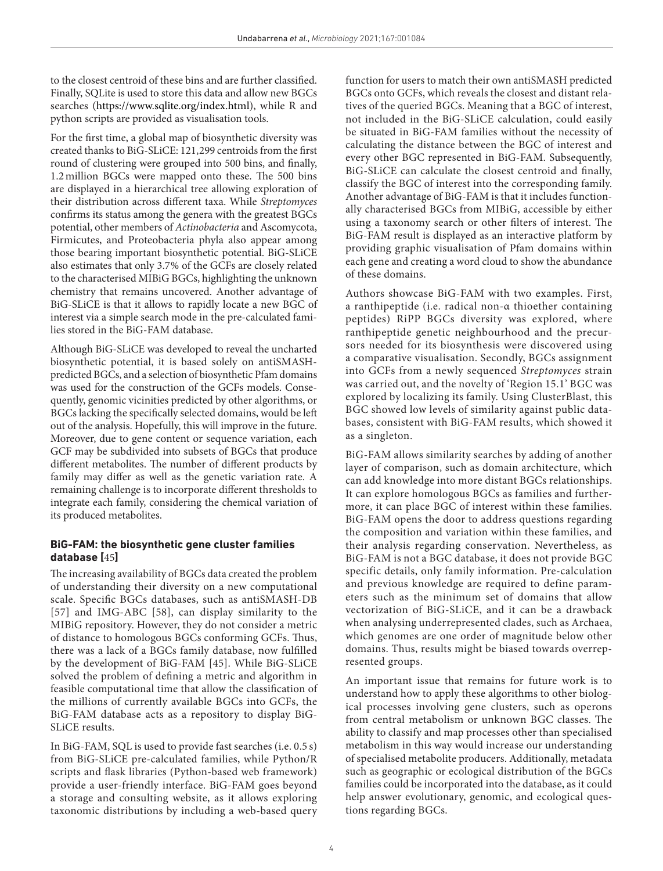to the closest centroid of these bins and are further classified. Finally, SQLite is used to store this data and allow new BGCs searches (<https://www.sqlite.org/index.html>), while R and python scripts are provided as visualisation tools.

For the first time, a global map of biosynthetic diversity was created thanks to BiG-SLiCE: 121,299 centroids from the first round of clustering were grouped into 500 bins, and finally, 1.2million BGCs were mapped onto these. The 500 bins are displayed in a hierarchical tree allowing exploration of their distribution across different taxa. While *Streptomyces* confirms its status among the genera with the greatest BGCs potential, other members of *Actinobacteria* and Ascomycota, Firmicutes, and Proteobacteria phyla also appear among those bearing important biosynthetic potential. BiG-SLiCE also estimates that only 3.7% of the GCFs are closely related to the characterised MIBiG BGCs, highlighting the unknown chemistry that remains uncovered. Another advantage of BiG-SLiCE is that it allows to rapidly locate a new BGC of interest via a simple search mode in the pre-calculated families stored in the BiG-FAM database.

Although BiG-SLiCE was developed to reveal the uncharted biosynthetic potential, it is based solely on antiSMASHpredicted BGCs, and a selection of biosynthetic Pfam domains was used for the construction of the GCFs models. Consequently, genomic vicinities predicted by other algorithms, or BGCs lacking the specifically selected domains, would be left out of the analysis. Hopefully, this will improve in the future. Moreover, due to gene content or sequence variation, each GCF may be subdivided into subsets of BGCs that produce different metabolites. The number of different products by family may differ as well as the genetic variation rate. A remaining challenge is to incorporate different thresholds to integrate each family, considering the chemical variation of its produced metabolites.

## **BiG-FAM: the biosynthetic gene cluster families database [**[45](#page-14-3)**]**

The increasing availability of BGCs data created the problem of understanding their diversity on a new computational scale. Specific BGCs databases, such as antiSMASH-DB [[57](#page-14-15)] and IMG-ABC [[58](#page-14-16)], can display similarity to the MIBiG repository. However, they do not consider a metric of distance to homologous BGCs conforming GCFs. Thus, there was a lack of a BGCs family database, now fulfilled by the development of BiG-FAM [\[45](#page-14-3)]. While BiG-SLiCE solved the problem of defining a metric and algorithm in feasible computational time that allow the classification of the millions of currently available BGCs into GCFs, the BiG-FAM database acts as a repository to display BiG-SLiCE results.

In BiG-FAM, SQL is used to provide fast searches (i.e. 0.5 s) from BiG-SLiCE pre-calculated families, while Python/R scripts and flask libraries (Python-based web framework) provide a user-friendly interface. BiG-FAM goes beyond a storage and consulting website, as it allows exploring taxonomic distributions by including a web-based query function for users to match their own antiSMASH predicted BGCs onto GCFs, which reveals the closest and distant relatives of the queried BGCs. Meaning that a BGC of interest, not included in the BiG-SLiCE calculation, could easily be situated in BiG-FAM families without the necessity of calculating the distance between the BGC of interest and every other BGC represented in BiG-FAM. Subsequently, BiG-SLiCE can calculate the closest centroid and finally, classify the BGC of interest into the corresponding family. Another advantage of BiG-FAM is that it includes functionally characterised BGCs from MIBiG, accessible by either using a taxonomy search or other filters of interest. The BiG-FAM result is displayed as an interactive platform by providing graphic visualisation of Pfam domains within each gene and creating a word cloud to show the abundance of these domains.

Authors showcase BiG-FAM with two examples. First, a ranthipeptide (i.e. radical non-α thioether containing peptides) RiPP BGCs diversity was explored, where ranthipeptide genetic neighbourhood and the precursors needed for its biosynthesis were discovered using a comparative visualisation. Secondly, BGCs assignment into GCFs from a newly sequenced *Streptomyces* strain was carried out, and the novelty of 'Region 15.1' BGC was explored by localizing its family. Using ClusterBlast, this BGC showed low levels of similarity against public databases, consistent with BiG-FAM results, which showed it as a singleton.

BiG-FAM allows similarity searches by adding of another layer of comparison, such as domain architecture, which can add knowledge into more distant BGCs relationships. It can explore homologous BGCs as families and furthermore, it can place BGC of interest within these families. BiG-FAM opens the door to address questions regarding the composition and variation within these families, and their analysis regarding conservation. Nevertheless, as BiG-FAM is not a BGC database, it does not provide BGC specific details, only family information. Pre-calculation and previous knowledge are required to define parameters such as the minimum set of domains that allow vectorization of BiG-SLiCE, and it can be a drawback when analysing underrepresented clades, such as Archaea, which genomes are one order of magnitude below other domains. Thus, results might be biased towards overrepresented groups.

An important issue that remains for future work is to understand how to apply these algorithms to other biological processes involving gene clusters, such as operons from central metabolism or unknown BGC classes. The ability to classify and map processes other than specialised metabolism in this way would increase our understanding of specialised metabolite producers. Additionally, metadata such as geographic or ecological distribution of the BGCs families could be incorporated into the database, as it could help answer evolutionary, genomic, and ecological questions regarding BGCs.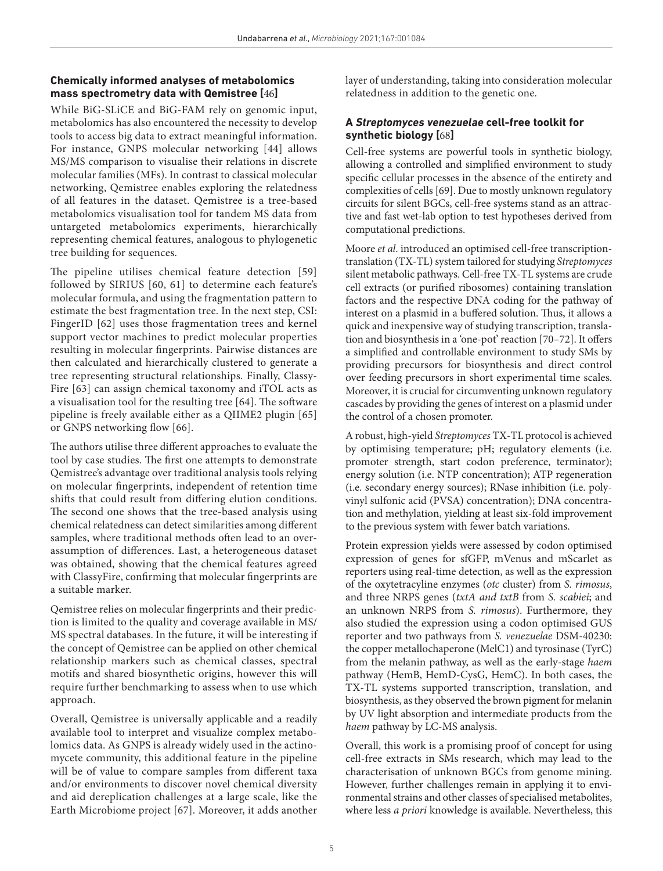## **Chemically informed analyses of metabolomics mass spectrometry data with Qemistree [**[46](#page-14-4)**]**

While BiG-SLiCE and BiG-FAM rely on genomic input, metabolomics has also encountered the necessity to develop tools to access big data to extract meaningful information. For instance, GNPS molecular networking [\[44](#page-14-2)] allows MS/MS comparison to visualise their relations in discrete molecular families (MFs). In contrast to classical molecular networking, Qemistree enables exploring the relatedness of all features in the dataset. Qemistree is a tree-based metabolomics visualisation tool for tandem MS data from untargeted metabolomics experiments, hierarchically representing chemical features, analogous to phylogenetic tree building for sequences.

The pipeline utilises chemical feature detection [\[59](#page-14-17)] followed by SIRIUS [[60, 61\]](#page-14-18) to determine each feature's molecular formula, and using the fragmentation pattern to estimate the best fragmentation tree. In the next step, CSI: FingerID [[62\]](#page-14-19) uses those fragmentation trees and kernel support vector machines to predict molecular properties resulting in molecular fingerprints. Pairwise distances are then calculated and hierarchically clustered to generate a tree representing structural relationships. Finally, Classy-Fire [\[63](#page-14-20)] can assign chemical taxonomy and iTOL acts as a visualisation tool for the resulting tree [[64\]](#page-14-21). The software pipeline is freely available either as a QIIME2 plugin [[65](#page-14-22)] or GNPS networking flow [\[66](#page-14-23)].

The authors utilise three different approaches to evaluate the tool by case studies. The first one attempts to demonstrate Qemistree's advantage over traditional analysis tools relying on molecular fingerprints, independent of retention time shifts that could result from differing elution conditions. The second one shows that the tree-based analysis using chemical relatedness can detect similarities among different samples, where traditional methods often lead to an overassumption of differences. Last, a heterogeneous dataset was obtained, showing that the chemical features agreed with ClassyFire, confirming that molecular fingerprints are a suitable marker.

Qemistree relies on molecular fingerprints and their prediction is limited to the quality and coverage available in MS/ MS spectral databases. In the future, it will be interesting if the concept of Qemistree can be applied on other chemical relationship markers such as chemical classes, spectral motifs and shared biosynthetic origins, however this will require further benchmarking to assess when to use which approach.

Overall, Qemistree is universally applicable and a readily available tool to interpret and visualize complex metabolomics data. As GNPS is already widely used in the actinomycete community, this additional feature in the pipeline will be of value to compare samples from different taxa and/or environments to discover novel chemical diversity and aid dereplication challenges at a large scale, like the Earth Microbiome project [[67\]](#page-14-24). Moreover, it adds another

layer of understanding, taking into consideration molecular relatedness in addition to the genetic one.

## **A** *Streptomyces venezuelae* **cell-free toolkit for synthetic biology [**[68](#page-14-25)**]**

Cell-free systems are powerful tools in synthetic biology, allowing a controlled and simplified environment to study specific cellular processes in the absence of the entirety and complexities of cells [\[69\]](#page-14-26). Due to mostly unknown regulatory circuits for silent BGCs, cell-free systems stand as an attractive and fast wet-lab option to test hypotheses derived from computational predictions.

Moore *et al*. introduced an optimised cell-free transcriptiontranslation (TX-TL) system tailored for studying *Streptomyces* silent metabolic pathways. Cell-free TX-TL systems are crude cell extracts (or purified ribosomes) containing translation factors and the respective DNA coding for the pathway of interest on a plasmid in a buffered solution. Thus, it allows a quick and inexpensive way of studying transcription, translation and biosynthesis in a 'one-pot' reaction [[70–72](#page-14-27)]. It offers a simplified and controllable environment to study SMs by providing precursors for biosynthesis and direct control over feeding precursors in short experimental time scales. Moreover, it is crucial for circumventing unknown regulatory cascades by providing the genes of interest on a plasmid under the control of a chosen promoter.

A robust, high-yield *Streptomyces* TX-TL protocol is achieved by optimising temperature; pH; regulatory elements (i.e. promoter strength, start codon preference, terminator); energy solution (i.e. NTP concentration); ATP regeneration (i.e. secondary energy sources); RNase inhibition (i.e. polyvinyl sulfonic acid (PVSA) concentration); DNA concentration and methylation, yielding at least six-fold improvement to the previous system with fewer batch variations.

Protein expression yields were assessed by codon optimised expression of genes for sfGFP, mVenus and mScarlet as reporters using real-time detection, as well as the expression of the oxytetracyline enzymes (*otc* cluster) from *S. rimosus*, and three NRPS genes (*txtA and txtB* from *S. scabiei*; and an unknown NRPS from *S. rimosus*). Furthermore, they also studied the expression using a codon optimised GUS reporter and two pathways from *S. venezuelae* DSM-40230: the copper metallochaperone (MelC1) and tyrosinase (TyrC) from the melanin pathway, as well as the early-stage *haem* pathway (HemB, HemD-CysG, HemC). In both cases, the TX-TL systems supported transcription, translation, and biosynthesis, as they observed the brown pigment for melanin by UV light absorption and intermediate products from the *haem* pathway by LC-MS analysis.

Overall, this work is a promising proof of concept for using cell-free extracts in SMs research, which may lead to the characterisation of unknown BGCs from genome mining. However, further challenges remain in applying it to environmental strains and other classes of specialised metabolites, where less *a priori* knowledge is available. Nevertheless, this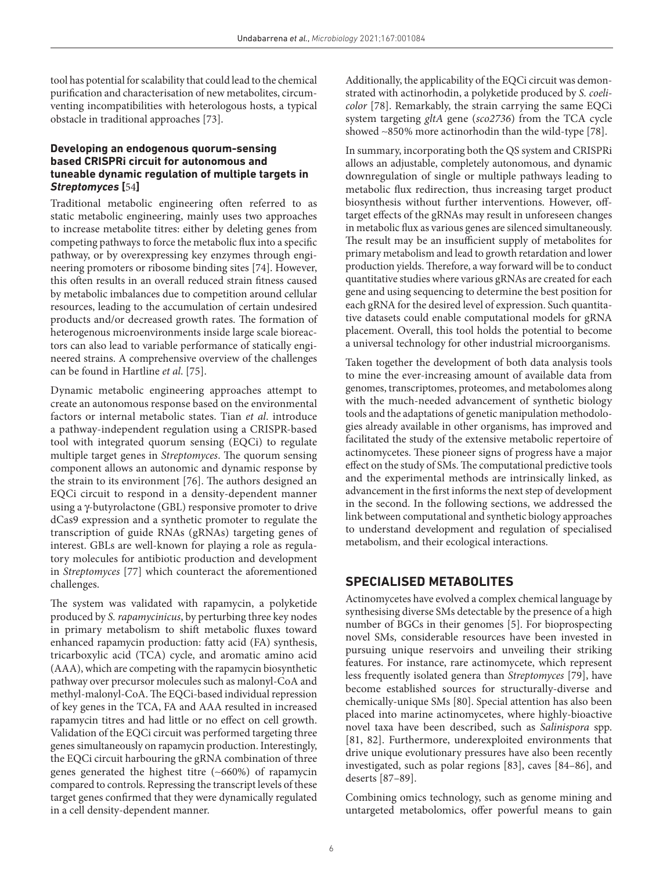tool has potential for scalability that could lead to the chemical purification and characterisation of new metabolites, circumventing incompatibilities with heterologous hosts, a typical obstacle in traditional approaches [\[73](#page-14-28)].

### **Developing an endogenous quorum-sensing based CRISPRi circuit for autonomous and tuneable dynamic regulation of multiple targets in**  *Streptomyces* **[**[54](#page-14-12)**]**

Traditional metabolic engineering often referred to as static metabolic engineering, mainly uses two approaches to increase metabolite titres: either by deleting genes from competing pathways to force the metabolic flux into a specific pathway, or by overexpressing key enzymes through engineering promoters or ribosome binding sites [[74](#page-14-29)]. However, this often results in an overall reduced strain fitness caused by metabolic imbalances due to competition around cellular resources, leading to the accumulation of certain undesired products and/or decreased growth rates. The formation of heterogenous microenvironments inside large scale bioreactors can also lead to variable performance of statically engineered strains. A comprehensive overview of the challenges can be found in Hartline *et al*. [\[75\]](#page-14-30).

Dynamic metabolic engineering approaches attempt to create an autonomous response based on the environmental factors or internal metabolic states. Tian *et al*. introduce a pathway-independent regulation using a CRISPR-based tool with integrated quorum sensing (EQCi) to regulate multiple target genes in *Streptomyces*. The quorum sensing component allows an autonomic and dynamic response by the strain to its environment [[76](#page-14-31)]. The authors designed an EQCi circuit to respond in a density-dependent manner using a γ-butyrolactone (GBL) responsive promoter to drive dCas9 expression and a synthetic promoter to regulate the transcription of guide RNAs (gRNAs) targeting genes of interest. GBLs are well-known for playing a role as regulatory molecules for antibiotic production and development in *Streptomyces* [\[77](#page-14-32)] which counteract the aforementioned challenges.

The system was validated with rapamycin, a polyketide produced by *S. rapamycinicus*, by perturbing three key nodes in primary metabolism to shift metabolic fluxes toward enhanced rapamycin production: fatty acid (FA) synthesis, tricarboxylic acid (TCA) cycle, and aromatic amino acid (AAA), which are competing with the rapamycin biosynthetic pathway over precursor molecules such as malonyl-CoA and methyl-malonyl-CoA. The EQCi-based individual repression of key genes in the TCA, FA and AAA resulted in increased rapamycin titres and had little or no effect on cell growth. Validation of the EQCi circuit was performed targeting three genes simultaneously on rapamycin production. Interestingly, the EQCi circuit harbouring the gRNA combination of three genes generated the highest titre (∼660%) of rapamycin compared to controls. Repressing the transcript levels of these target genes confirmed that they were dynamically regulated in a cell density-dependent manner.

Additionally, the applicability of the EQCi circuit was demonstrated with actinorhodin, a polyketide produced by *S. coelicolor* [\[78\]](#page-14-33). Remarkably, the strain carrying the same EQCi system targeting *gltA* gene (*sco2736*) from the TCA cycle showed ∼850% more actinorhodin than the wild-type [\[78\]](#page-14-33).

In summary, incorporating both the QS system and CRISPRi allows an adjustable, completely autonomous, and dynamic downregulation of single or multiple pathways leading to metabolic flux redirection, thus increasing target product biosynthesis without further interventions. However, offtarget effects of the gRNAs may result in unforeseen changes in metabolic flux as various genes are silenced simultaneously. The result may be an insufficient supply of metabolites for primary metabolism and lead to growth retardation and lower production yields. Therefore, a way forward will be to conduct quantitative studies where various gRNAs are created for each gene and using sequencing to determine the best position for each gRNA for the desired level of expression. Such quantitative datasets could enable computational models for gRNA placement. Overall, this tool holds the potential to become a universal technology for other industrial microorganisms.

Taken together the development of both data analysis tools to mine the ever-increasing amount of available data from genomes, transcriptomes, proteomes, and metabolomes along with the much-needed advancement of synthetic biology tools and the adaptations of genetic manipulation methodologies already available in other organisms, has improved and facilitated the study of the extensive metabolic repertoire of actinomycetes. These pioneer signs of progress have a major effect on the study of SMs. The computational predictive tools and the experimental methods are intrinsically linked, as advancement in the first informs the next step of development in the second. In the following sections, we addressed the link between computational and synthetic biology approaches to understand development and regulation of specialised metabolism, and their ecological interactions.

## **SPECIALISED METABOLITES**

Actinomycetes have evolved a complex chemical language by synthesising diverse SMs detectable by the presence of a high number of BGCs in their genomes [[5\]](#page-13-4). For bioprospecting novel SMs, considerable resources have been invested in pursuing unique reservoirs and unveiling their striking features. For instance, rare actinomycete, which represent less frequently isolated genera than *Streptomyces* [\[79\]](#page-14-34), have become established sources for structurally-diverse and chemically-unique SMs [\[80\]](#page-14-35). Special attention has also been placed into marine actinomycetes, where highly-bioactive novel taxa have been described, such as *Salinispora* spp. [[81, 82\]](#page-14-36). Furthermore, underexploited environments that drive unique evolutionary pressures have also been recently investigated, such as polar regions [[83](#page-14-37)], caves [[84–86](#page-14-38)], and deserts [\[87–89\]](#page-15-0).

Combining omics technology, such as genome mining and untargeted metabolomics, offer powerful means to gain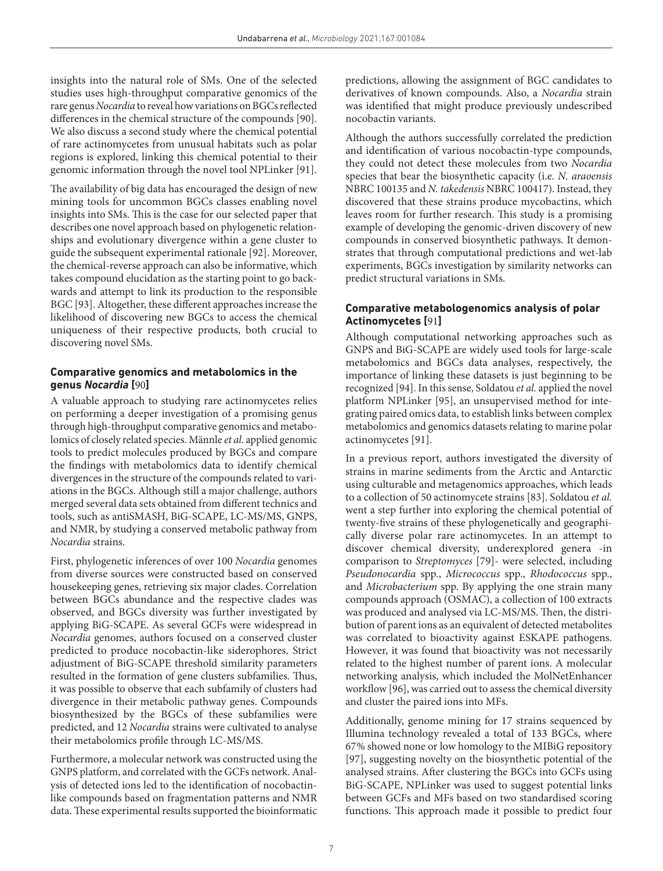insights into the natural role of SMs. One of the selected studies uses high-throughput comparative genomics of the rare genus *Nocardia* to reveal how variations on BGCs reflected differences in the chemical structure of the compounds [[90](#page-15-1)]. We also discuss a second study where the chemical potential of rare actinomycetes from unusual habitats such as polar regions is explored, linking this chemical potential to their genomic information through the novel tool NPLinker [\[91\]](#page-15-2).

The availability of big data has encouraged the design of new mining tools for uncommon BGCs classes enabling novel insights into SMs. This is the case for our selected paper that describes one novel approach based on phylogenetic relationships and evolutionary divergence within a gene cluster to guide the subsequent experimental rationale [[92](#page-15-3)]. Moreover, the chemical-reverse approach can also be informative, which takes compound elucidation as the starting point to go backwards and attempt to link its production to the responsible BGC [\[93\]](#page-15-4). Altogether, these different approaches increase the likelihood of discovering new BGCs to access the chemical uniqueness of their respective products, both crucial to discovering novel SMs.

## **Comparative genomics and metabolomics in the genus** *Nocardia* **[**[90](#page-15-1)**]**

A valuable approach to studying rare actinomycetes relies on performing a deeper investigation of a promising genus through high-throughput comparative genomics and metabolomics of closely related species. Männle *et al.* applied genomic tools to predict molecules produced by BGCs and compare the findings with metabolomics data to identify chemical divergences in the structure of the compounds related to variations in the BGCs. Although still a major challenge, authors merged several data sets obtained from different technics and tools, such as antiSMASH, BiG-SCAPE, LC-MS/MS, GNPS, and NMR, by studying a conserved metabolic pathway from *Nocardia* strains.

First, phylogenetic inferences of over 100 *Nocardia* genomes from diverse sources were constructed based on conserved housekeeping genes, retrieving six major clades. Correlation between BGCs abundance and the respective clades was observed, and BGCs diversity was further investigated by applying BiG-SCAPE. As several GCFs were widespread in *Nocardia* genomes, authors focused on a conserved cluster predicted to produce nocobactin-like siderophores. Strict adjustment of BiG-SCAPE threshold similarity parameters resulted in the formation of gene clusters subfamilies. Thus, it was possible to observe that each subfamily of clusters had divergence in their metabolic pathway genes. Compounds biosynthesized by the BGCs of these subfamilies were predicted, and 12 *Nocardia* strains were cultivated to analyse their metabolomics profile through LC-MS/MS.

Furthermore, a molecular network was constructed using the GNPS platform, and correlated with the GCFs network. Analysis of detected ions led to the identification of nocobactinlike compounds based on fragmentation patterns and NMR data. These experimental results supported the bioinformatic predictions, allowing the assignment of BGC candidates to derivatives of known compounds. Also, a *Nocardia* strain was identified that might produce previously undescribed nocobactin variants.

Although the authors successfully correlated the prediction and identification of various nocobactin-type compounds, they could not detect these molecules from two *Nocardia* species that bear the biosynthetic capacity (i.e*. N. araoensis* NBRC 100135 and *N. takedensis* NBRC 100417). Instead, they discovered that these strains produce mycobactins, which leaves room for further research. This study is a promising example of developing the genomic-driven discovery of new compounds in conserved biosynthetic pathways. It demonstrates that through computational predictions and wet-lab experiments, BGCs investigation by similarity networks can predict structural variations in SMs.

### **Comparative metabologenomics analysis of polar Actinomycetes [**[91](#page-15-2)**]**

Although computational networking approaches such as GNPS and BiG-SCAPE are widely used tools for large-scale metabolomics and BGCs data analyses, respectively, the importance of linking these datasets is just beginning to be recognized [[94](#page-15-5)]. In this sense, Soldatou *et al.* applied the novel platform NPLinker [\[95\]](#page-15-6), an unsupervised method for integrating paired omics data, to establish links between complex metabolomics and genomics datasets relating to marine polar actinomycetes [[91](#page-15-2)].

In a previous report, authors investigated the diversity of strains in marine sediments from the Arctic and Antarctic using culturable and metagenomics approaches, which leads to a collection of 50 actinomycete strains [[83](#page-14-37)]. Soldatou *et al.* went a step further into exploring the chemical potential of twenty-five strains of these phylogenetically and geographically diverse polar rare actinomycetes. In an attempt to discover chemical diversity, underexplored genera -in comparison to *Streptomyces* [\[79\]](#page-14-34)- were selected, including *Pseudonocardia* spp., *Micrococcus* spp., *Rhodococcus* spp., and *Microbacterium* spp. By applying the one strain many compounds approach (OSMAC), a collection of 100 extracts was produced and analysed via LC-MS/MS. Then, the distribution of parent ions as an equivalent of detected metabolites was correlated to bioactivity against ESKAPE pathogens. However, it was found that bioactivity was not necessarily related to the highest number of parent ions. A molecular networking analysis, which included the MolNetEnhancer workflow [[96](#page-15-7)], was carried out to assess the chemical diversity and cluster the paired ions into MFs.

Additionally, genome mining for 17 strains sequenced by Illumina technology revealed a total of 133 BGCs, where 67% showed none or low homology to the MIBiG repository [[97](#page-15-8)], suggesting novelty on the biosynthetic potential of the analysed strains. After clustering the BGCs into GCFs using BiG-SCAPE, NPLinker was used to suggest potential links between GCFs and MFs based on two standardised scoring functions. This approach made it possible to predict four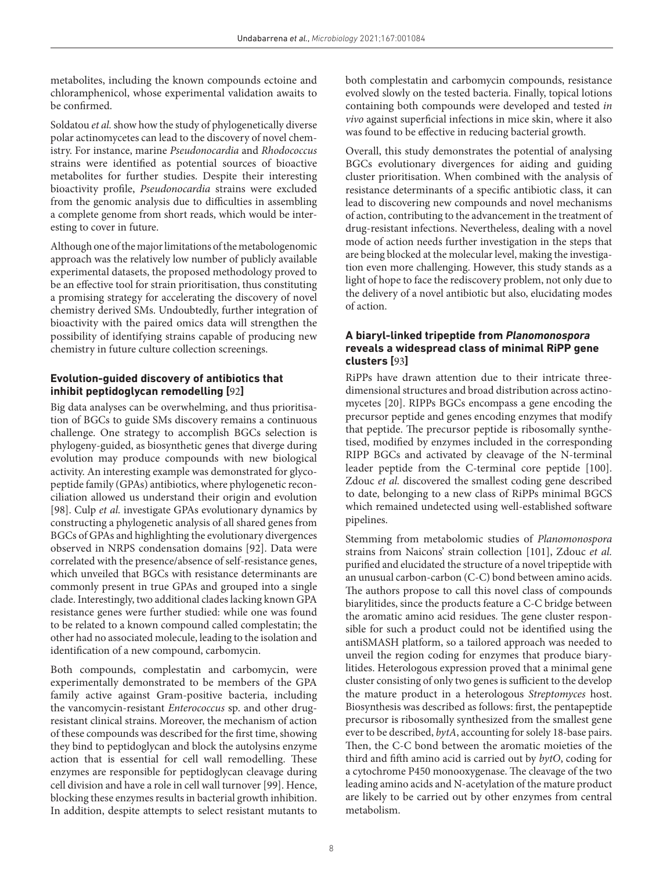metabolites, including the known compounds ectoine and chloramphenicol, whose experimental validation awaits to be confirmed.

Soldatou *et al.* show how the study of phylogenetically diverse polar actinomycetes can lead to the discovery of novel chemistry. For instance, marine *Pseudonocardia* and *Rhodococcus* strains were identified as potential sources of bioactive metabolites for further studies. Despite their interesting bioactivity profile, *Pseudonocardia* strains were excluded from the genomic analysis due to difficulties in assembling a complete genome from short reads, which would be interesting to cover in future.

Although one of the major limitations of the metabologenomic approach was the relatively low number of publicly available experimental datasets, the proposed methodology proved to be an effective tool for strain prioritisation, thus constituting a promising strategy for accelerating the discovery of novel chemistry derived SMs. Undoubtedly, further integration of bioactivity with the paired omics data will strengthen the possibility of identifying strains capable of producing new chemistry in future culture collection screenings.

## **Evolution-guided discovery of antibiotics that inhibit peptidoglycan remodelling [**[92](#page-15-3)**]**

Big data analyses can be overwhelming, and thus prioritisation of BGCs to guide SMs discovery remains a continuous challenge. One strategy to accomplish BGCs selection is phylogeny-guided, as biosynthetic genes that diverge during evolution may produce compounds with new biological activity. An interesting example was demonstrated for glycopeptide family (GPAs) antibiotics, where phylogenetic reconciliation allowed us understand their origin and evolution [[98](#page-15-9)]. Culp *et al.* investigate GPAs evolutionary dynamics by constructing a phylogenetic analysis of all shared genes from BGCs of GPAs and highlighting the evolutionary divergences observed in NRPS condensation domains [\[92](#page-15-3)]. Data were correlated with the presence/absence of self-resistance genes, which unveiled that BGCs with resistance determinants are commonly present in true GPAs and grouped into a single clade. Interestingly, two additional clades lacking known GPA resistance genes were further studied: while one was found to be related to a known compound called complestatin; the other had no associated molecule, leading to the isolation and identification of a new compound, carbomycin.

Both compounds, complestatin and carbomycin, were experimentally demonstrated to be members of the GPA family active against Gram-positive bacteria, including the vancomycin-resistant *Enterococcus* sp. and other drugresistant clinical strains. Moreover, the mechanism of action of these compounds was described for the first time, showing they bind to peptidoglycan and block the autolysins enzyme action that is essential for cell wall remodelling. These enzymes are responsible for peptidoglycan cleavage during cell division and have a role in cell wall turnover [[99](#page-15-10)]. Hence, blocking these enzymes results in bacterial growth inhibition. In addition, despite attempts to select resistant mutants to

both complestatin and carbomycin compounds, resistance evolved slowly on the tested bacteria. Finally, topical lotions containing both compounds were developed and tested *in vivo* against superficial infections in mice skin, where it also was found to be effective in reducing bacterial growth.

Overall, this study demonstrates the potential of analysing BGCs evolutionary divergences for aiding and guiding cluster prioritisation. When combined with the analysis of resistance determinants of a specific antibiotic class, it can lead to discovering new compounds and novel mechanisms of action, contributing to the advancement in the treatment of drug-resistant infections. Nevertheless, dealing with a novel mode of action needs further investigation in the steps that are being blocked at the molecular level, making the investigation even more challenging. However, this study stands as a light of hope to face the rediscovery problem, not only due to the delivery of a novel antibiotic but also, elucidating modes of action.

### **A biaryl-linked tripeptide from** *Planomonospora* **reveals a widespread class of minimal RiPP gene clusters [**[93](#page-15-4)**]**

RiPPs have drawn attention due to their intricate threedimensional structures and broad distribution across actinomycetes [[20](#page-13-25)]. RIPPs BGCs encompass a gene encoding the precursor peptide and genes encoding enzymes that modify that peptide. The precursor peptide is ribosomally synthetised, modified by enzymes included in the corresponding RIPP BGCs and activated by cleavage of the N-terminal leader peptide from the C-terminal core peptide [\[100](#page-15-11)]. Zdouc *et al.* discovered the smallest coding gene described to date, belonging to a new class of RiPPs minimal BGCS which remained undetected using well-established software pipelines.

Stemming from metabolomic studies of *Planomonospora* strains from Naicons' strain collection [[101\]](#page-15-12), Zdouc *et al.* purified and elucidated the structure of a novel tripeptide with an unusual carbon-carbon (C-C) bond between amino acids. The authors propose to call this novel class of compounds biarylitides, since the products feature a C-C bridge between the aromatic amino acid residues. The gene cluster responsible for such a product could not be identified using the antiSMASH platform, so a tailored approach was needed to unveil the region coding for enzymes that produce biarylitides. Heterologous expression proved that a minimal gene cluster consisting of only two genes is sufficient to the develop the mature product in a heterologous *Streptomyces* host. Biosynthesis was described as follows: first, the pentapeptide precursor is ribosomally synthesized from the smallest gene ever to be described, *bytA*, accounting for solely 18-base pairs. Then, the C-C bond between the aromatic moieties of the third and fifth amino acid is carried out by *bytO*, coding for a cytochrome P450 monooxygenase. The cleavage of the two leading amino acids and N-acetylation of the mature product are likely to be carried out by other enzymes from central metabolism.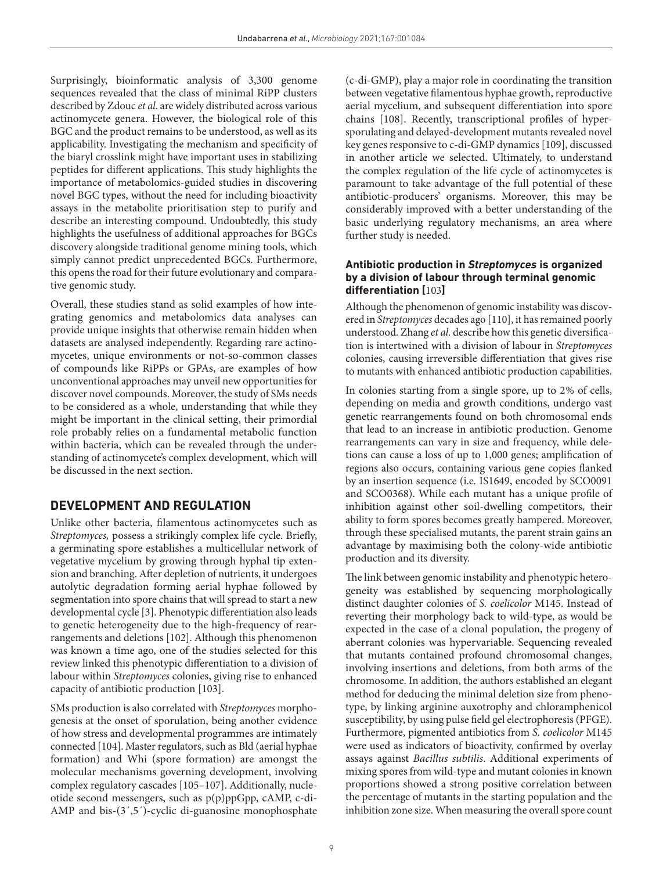Surprisingly, bioinformatic analysis of 3,300 genome sequences revealed that the class of minimal RiPP clusters described by Zdouc *et al.* are widely distributed across various actinomycete genera. However, the biological role of this BGC and the product remains to be understood, as well as its applicability. Investigating the mechanism and specificity of the biaryl crosslink might have important uses in stabilizing peptides for different applications. This study highlights the importance of metabolomics-guided studies in discovering novel BGC types, without the need for including bioactivity assays in the metabolite prioritisation step to purify and describe an interesting compound. Undoubtedly, this study highlights the usefulness of additional approaches for BGCs discovery alongside traditional genome mining tools, which simply cannot predict unprecedented BGCs. Furthermore, this opens the road for their future evolutionary and comparative genomic study.

Overall, these studies stand as solid examples of how integrating genomics and metabolomics data analyses can provide unique insights that otherwise remain hidden when datasets are analysed independently. Regarding rare actinomycetes, unique environments or not-so-common classes of compounds like RiPPs or GPAs, are examples of how unconventional approaches may unveil new opportunities for discover novel compounds. Moreover, the study of SMs needs to be considered as a whole, understanding that while they might be important in the clinical setting, their primordial role probably relies on a fundamental metabolic function within bacteria, which can be revealed through the understanding of actinomycete's complex development, which will be discussed in the next section.

## **DEVELOPMENT AND REGULATION**

Unlike other bacteria, filamentous actinomycetes such as *Streptomyces,* possess a strikingly complex life cycle. Briefly, a germinating spore establishes a multicellular network of vegetative mycelium by growing through hyphal tip extension and branching. After depletion of nutrients, it undergoes autolytic degradation forming aerial hyphae followed by segmentation into spore chains that will spread to start a new developmental cycle [\[3](#page-13-2)]. Phenotypic differentiation also leads to genetic heterogeneity due to the high-frequency of rearrangements and deletions [\[102\]](#page-15-13). Although this phenomenon was known a time ago, one of the studies selected for this review linked this phenotypic differentiation to a division of labour within *Streptomyces* colonies, giving rise to enhanced capacity of antibiotic production [\[103\]](#page-15-14).

SMs production is also correlated with *Streptomyces* morphogenesis at the onset of sporulation, being another evidence of how stress and developmental programmes are intimately connected [\[104](#page-15-15)]. Master regulators, such as Bld (aerial hyphae formation) and Whi (spore formation) are amongst the molecular mechanisms governing development, involving complex regulatory cascades [\[105–107](#page-15-16)]. Additionally, nucleotide second messengers, such as p(p)ppGpp, cAMP, c-di-AMP and bis-(3',5')-cyclic di-guanosine monophosphate

(c-di-GMP), play a major role in coordinating the transition between vegetative filamentous hyphae growth, reproductive aerial mycelium, and subsequent differentiation into spore chains [[108](#page-15-17)]. Recently, transcriptional profiles of hypersporulating and delayed-development mutants revealed novel key genes responsive to c-di-GMP dynamics [[109](#page-15-18)], discussed in another article we selected. Ultimately, to understand the complex regulation of the life cycle of actinomycetes is paramount to take advantage of the full potential of these antibiotic-producers' organisms. Moreover, this may be considerably improved with a better understanding of the basic underlying regulatory mechanisms, an area where further study is needed.

### **Antibiotic production in** *Streptomyces* **is organized by a division of labour through terminal genomic differentiation [**[103](#page-15-14)**]**

Although the phenomenon of genomic instability was discovered in *Streptomyces* decades ago [[110\]](#page-15-19), it has remained poorly understood. Zhang *et al.* describe how this genetic diversification is intertwined with a division of labour in *Streptomyces* colonies, causing irreversible differentiation that gives rise to mutants with enhanced antibiotic production capabilities.

In colonies starting from a single spore, up to 2% of cells, depending on media and growth conditions, undergo vast genetic rearrangements found on both chromosomal ends that lead to an increase in antibiotic production. Genome rearrangements can vary in size and frequency, while deletions can cause a loss of up to 1,000 genes; amplification of regions also occurs, containing various gene copies flanked by an insertion sequence (i.e*.* IS1649, encoded by SCO0091 and SCO0368). While each mutant has a unique profile of inhibition against other soil-dwelling competitors, their ability to form spores becomes greatly hampered. Moreover, through these specialised mutants, the parent strain gains an advantage by maximising both the colony-wide antibiotic production and its diversity.

The link between genomic instability and phenotypic heterogeneity was established by sequencing morphologically distinct daughter colonies of *S. coelicolor* M145. Instead of reverting their morphology back to wild-type, as would be expected in the case of a clonal population, the progeny of aberrant colonies was hypervariable. Sequencing revealed that mutants contained profound chromosomal changes, involving insertions and deletions, from both arms of the chromosome. In addition, the authors established an elegant method for deducing the minimal deletion size from phenotype, by linking arginine auxotrophy and chloramphenicol susceptibility, by using pulse field gel electrophoresis (PFGE). Furthermore, pigmented antibiotics from *S. coelicolor* M145 were used as indicators of bioactivity, confirmed by overlay assays against *Bacillus subtilis*. Additional experiments of mixing spores from wild-type and mutant colonies in known proportions showed a strong positive correlation between the percentage of mutants in the starting population and the inhibition zone size. When measuring the overall spore count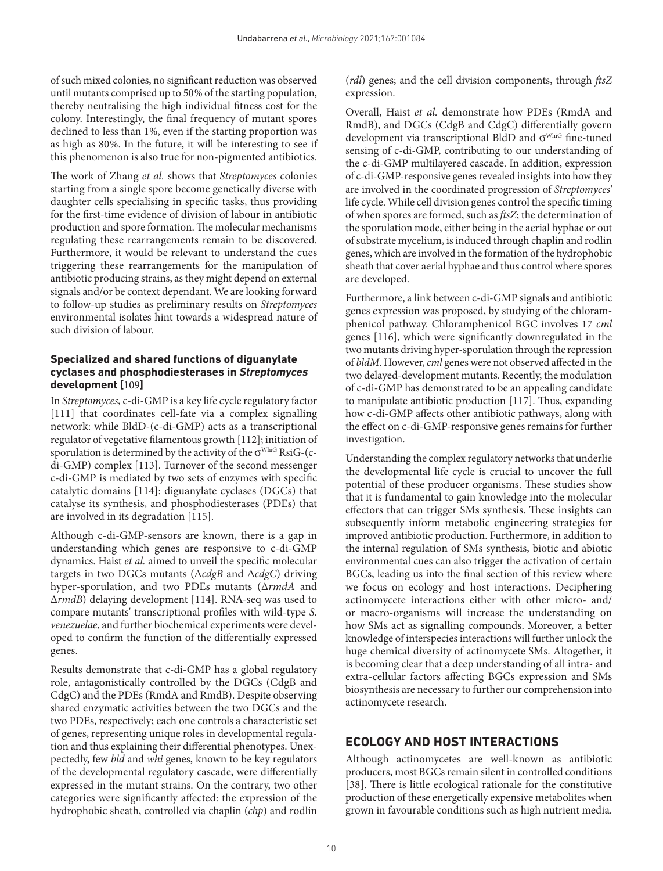of such mixed colonies, no significant reduction was observed until mutants comprised up to 50% of the starting population, thereby neutralising the high individual fitness cost for the colony. Interestingly, the final frequency of mutant spores declined to less than 1%, even if the starting proportion was as high as 80%. In the future, it will be interesting to see if this phenomenon is also true for non-pigmented antibiotics.

The work of Zhang *et al.* shows that *Streptomyces* colonies starting from a single spore become genetically diverse with daughter cells specialising in specific tasks, thus providing for the first-time evidence of division of labour in antibiotic production and spore formation. The molecular mechanisms regulating these rearrangements remain to be discovered. Furthermore, it would be relevant to understand the cues triggering these rearrangements for the manipulation of antibiotic producing strains, as they might depend on external signals and/or be context dependant. We are looking forward to follow-up studies as preliminary results on *Streptomyces* environmental isolates hint towards a widespread nature of such division of labour.

### **Specialized and shared functions of diguanylate cyclases and phosphodiesterases in** *Streptomyces* **development [**[109](#page-15-18)**]**

In *Streptomyces*, c-di-GMP is a key life cycle regulatory factor [[111\]](#page-15-20) that coordinates cell-fate via a complex signalling network: while BldD-(c-di-GMP) acts as a transcriptional regulator of vegetative filamentous growth [\[112\]](#page-15-21); initiation of sporulation is determined by the activity of the  $\sigma^{\text{WhiG}}$  RsiG-(cdi-GMP) complex [\[113\]](#page-15-22). Turnover of the second messenger c-di-GMP is mediated by two sets of enzymes with specific catalytic domains [[114\]](#page-15-23): diguanylate cyclases (DGCs) that catalyse its synthesis, and phosphodiesterases (PDEs) that are involved in its degradation [[115](#page-15-24)].

Although c-di-GMP-sensors are known, there is a gap in understanding which genes are responsive to c-di-GMP dynamics. Haist *et al.* aimed to unveil the specific molecular targets in two DGCs mutants (Δ*cdgB* and Δ*cdgC*) driving hyper-sporulation, and two PDEs mutants (Δ*rmdA* and Δ*rmdB*) delaying development [\[114\]](#page-15-23). RNA-seq was used to compare mutants' transcriptional profiles with wild-type *S. venezuelae*, and further biochemical experiments were developed to confirm the function of the differentially expressed genes.

Results demonstrate that c-di-GMP has a global regulatory role, antagonistically controlled by the DGCs (CdgB and CdgC) and the PDEs (RmdA and RmdB). Despite observing shared enzymatic activities between the two DGCs and the two PDEs, respectively; each one controls a characteristic set of genes, representing unique roles in developmental regulation and thus explaining their differential phenotypes. Unexpectedly, few *bld* and *whi* genes, known to be key regulators of the developmental regulatory cascade, were differentially expressed in the mutant strains. On the contrary, two other categories were significantly affected: the expression of the hydrophobic sheath, controlled via chaplin (*chp*) and rodlin

(*rdl*) genes; and the cell division components, through *ftsZ* expression.

Overall, Haist *et al.* demonstrate how PDEs (RmdA and RmdB), and DGCs (CdgB and CdgC) differentially govern development via transcriptional BldD and σ<sup>WhiG</sup> fine-tuned sensing of c-di-GMP, contributing to our understanding of the c-di-GMP multilayered cascade. In addition, expression of c-di-GMP-responsive genes revealed insights into how they are involved in the coordinated progression of *Streptomyces'* life cycle. While cell division genes control the specific timing of when spores are formed, such as *ftsZ*; the determination of the sporulation mode, either being in the aerial hyphae or out of substrate mycelium, is induced through chaplin and rodlin genes, which are involved in the formation of the hydrophobic sheath that cover aerial hyphae and thus control where spores are developed.

Furthermore, a link between c-di-GMP signals and antibiotic genes expression was proposed, by studying of the chloramphenicol pathway. Chloramphenicol BGC involves 17 *cml* genes [\[116](#page-15-25)], which were significantly downregulated in the two mutants driving hyper-sporulation through the repression of *bldM*. However, *cml* genes were not observed affected in the two delayed-development mutants. Recently, the modulation of c-di-GMP has demonstrated to be an appealing candidate to manipulate antibiotic production [[117](#page-15-26)]. Thus, expanding how c-di-GMP affects other antibiotic pathways, along with the effect on c-di-GMP-responsive genes remains for further investigation.

Understanding the complex regulatory networks that underlie the developmental life cycle is crucial to uncover the full potential of these producer organisms. These studies show that it is fundamental to gain knowledge into the molecular effectors that can trigger SMs synthesis. These insights can subsequently inform metabolic engineering strategies for improved antibiotic production. Furthermore, in addition to the internal regulation of SMs synthesis, biotic and abiotic environmental cues can also trigger the activation of certain BGCs, leading us into the final section of this review where we focus on ecology and host interactions. Deciphering actinomycete interactions either with other micro- and/ or macro-organisms will increase the understanding on how SMs act as signalling compounds. Moreover, a better knowledge of interspecies interactions will further unlock the huge chemical diversity of actinomycete SMs. Altogether, it is becoming clear that a deep understanding of all intra- and extra-cellular factors affecting BGCs expression and SMs biosynthesis are necessary to further our comprehension into actinomycete research.

## **ECOLOGY AND HOST INTERACTIONS**

Although actinomycetes are well-known as antibiotic producers, most BGCs remain silent in controlled conditions [[38\]](#page-13-18). There is little ecological rationale for the constitutive production of these energetically expensive metabolites when grown in favourable conditions such as high nutrient media.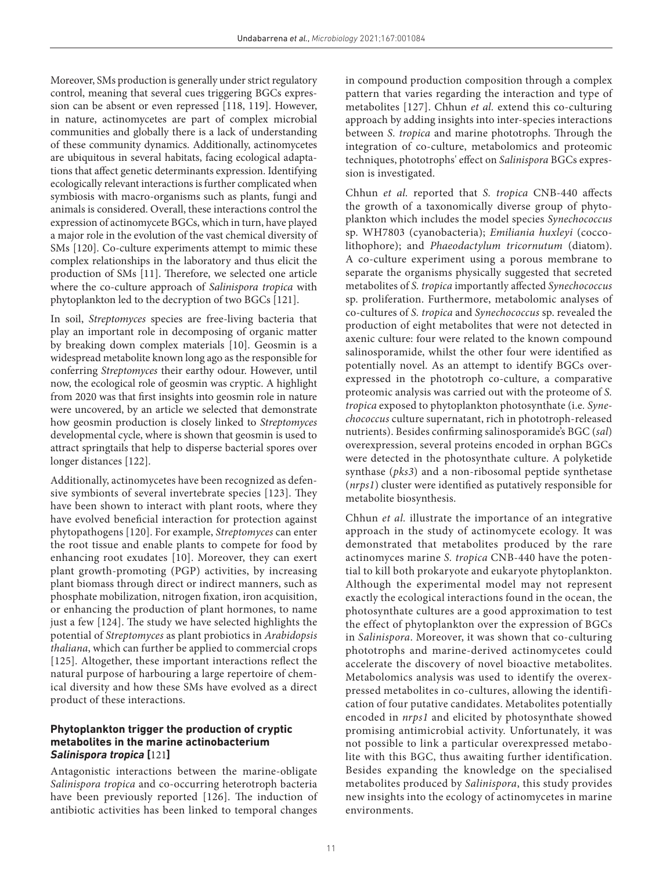Moreover, SMs production is generally under strict regulatory control, meaning that several cues triggering BGCs expression can be absent or even repressed [\[118, 119\]](#page-15-27). However, in nature, actinomycetes are part of complex microbial communities and globally there is a lack of understanding of these community dynamics. Additionally, actinomycetes are ubiquitous in several habitats, facing ecological adaptations that affect genetic determinants expression. Identifying ecologically relevant interactions is further complicated when symbiosis with macro-organisms such as plants, fungi and animals is considered. Overall, these interactions control the expression of actinomycete BGCs, which in turn, have played a major role in the evolution of the vast chemical diversity of SMs [[120](#page-15-28)]. Co-culture experiments attempt to mimic these complex relationships in the laboratory and thus elicit the production of SMs [\[11\]](#page-13-8). Therefore, we selected one article where the co-culture approach of *Salinispora tropica* with phytoplankton led to the decryption of two BGCs [[121](#page-15-29)].

In soil, *Streptomyces* species are free-living bacteria that play an important role in decomposing of organic matter by breaking down complex materials [\[10\]](#page-13-26). Geosmin is a widespread metabolite known long ago as the responsible for conferring *Streptomyces* their earthy odour. However, until now, the ecological role of geosmin was cryptic. A highlight from 2020 was that first insights into geosmin role in nature were uncovered, by an article we selected that demonstrate how geosmin production is closely linked to *Streptomyces* developmental cycle, where is shown that geosmin is used to attract springtails that help to disperse bacterial spores over longer distances [\[122\]](#page-15-30).

Additionally, actinomycetes have been recognized as defensive symbionts of several invertebrate species [[123\]](#page-15-31). They have been shown to interact with plant roots, where they have evolved beneficial interaction for protection against phytopathogens [\[120](#page-15-28)]. For example, *Streptomyces* can enter the root tissue and enable plants to compete for food by enhancing root exudates [[10\]](#page-13-26). Moreover, they can exert plant growth-promoting (PGP) activities, by increasing plant biomass through direct or indirect manners, such as phosphate mobilization, nitrogen fixation, iron acquisition, or enhancing the production of plant hormones, to name just a few [[124\]](#page-16-0). The study we have selected highlights the potential of *Streptomyces* as plant probiotics in *Arabidopsis thaliana*, which can further be applied to commercial crops [[125\]](#page-16-1). Altogether, these important interactions reflect the natural purpose of harbouring a large repertoire of chemical diversity and how these SMs have evolved as a direct product of these interactions.

## **Phytoplankton trigger the production of cryptic metabolites in the marine actinobacterium**  *Salinispora tropica* **[**[121](#page-15-29)**]**

Antagonistic interactions between the marine-obligate *Salinispora tropica* and co-occurring heterotroph bacteria have been previously reported [[126\]](#page-16-2). The induction of antibiotic activities has been linked to temporal changes

in compound production composition through a complex pattern that varies regarding the interaction and type of metabolites [[127](#page-16-3)]. Chhun *et al.* extend this co-culturing approach by adding insights into inter-species interactions between *S. tropica* and marine phototrophs. Through the integration of co-culture, metabolomics and proteomic techniques, phototrophs' effect on *Salinispora* BGCs expression is investigated.

Chhun *et al.* reported that *S. tropica* CNB-440 affects the growth of a taxonomically diverse group of phytoplankton which includes the model species *Synechococcus* sp. WH7803 (cyanobacteria); *Emiliania huxleyi* (coccolithophore); and *Phaeodactylum tricornutum* (diatom). A co-culture experiment using a porous membrane to separate the organisms physically suggested that secreted metabolites of *S. tropica* importantly affected *Synechococcus* sp. proliferation. Furthermore, metabolomic analyses of co-cultures of *S. tropica* and *Synechococcus* sp. revealed the production of eight metabolites that were not detected in axenic culture: four were related to the known compound salinosporamide, whilst the other four were identified as potentially novel. As an attempt to identify BGCs overexpressed in the phototroph co-culture, a comparative proteomic analysis was carried out with the proteome of *S. tropica* exposed to phytoplankton photosynthate (i.e*. Synechococcus* culture supernatant, rich in phototroph-released nutrients). Besides confirming salinosporamide's BGC (*sal*) overexpression, several proteins encoded in orphan BGCs were detected in the photosynthate culture. A polyketide synthase (*pks3*) and a non-ribosomal peptide synthetase (*nrps1*) cluster were identified as putatively responsible for metabolite biosynthesis.

Chhun *et al.* illustrate the importance of an integrative approach in the study of actinomycete ecology. It was demonstrated that metabolites produced by the rare actinomyces marine *S. tropica* CNB-440 have the potential to kill both prokaryote and eukaryote phytoplankton. Although the experimental model may not represent exactly the ecological interactions found in the ocean, the photosynthate cultures are a good approximation to test the effect of phytoplankton over the expression of BGCs in *Salinispora*. Moreover, it was shown that co-culturing phototrophs and marine-derived actinomycetes could accelerate the discovery of novel bioactive metabolites. Metabolomics analysis was used to identify the overexpressed metabolites in co-cultures, allowing the identification of four putative candidates. Metabolites potentially encoded in *nrps1* and elicited by photosynthate showed promising antimicrobial activity. Unfortunately, it was not possible to link a particular overexpressed metabolite with this BGC, thus awaiting further identification. Besides expanding the knowledge on the specialised metabolites produced by *Salinispora*, this study provides new insights into the ecology of actinomycetes in marine environments.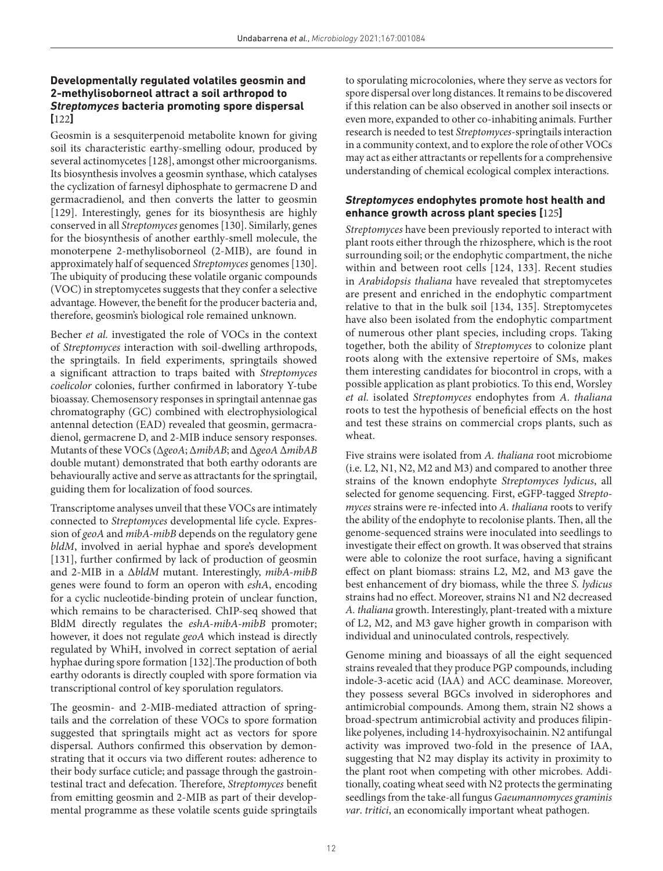## **Developmentally regulated volatiles geosmin and 2-methylisoborneol attract a soil arthropod to**  *Streptomyces* **bacteria promoting spore dispersal [**[122](#page-15-30)**]**

Geosmin is a sesquiterpenoid metabolite known for giving soil its characteristic earthy-smelling odour, produced by several actinomycetes [[128](#page-16-4)], amongst other microorganisms. Its biosynthesis involves a geosmin synthase, which catalyses the cyclization of farnesyl diphosphate to germacrene D and germacradienol, and then converts the latter to geosmin [[129\]](#page-16-5). Interestingly, genes for its biosynthesis are highly conserved in all *Streptomyces* genomes [[130](#page-16-6)]. Similarly, genes for the biosynthesis of another earthly-smell molecule, the monoterpene 2-methylisoborneol (2-MIB), are found in approximately half of sequenced *Streptomyces* genomes [[130](#page-16-6)]. The ubiquity of producing these volatile organic compounds (VOC) in streptomycetes suggests that they confer a selective advantage. However, the benefit for the producer bacteria and, therefore, geosmin's biological role remained unknown.

Becher *et al.* investigated the role of VOCs in the context of *Streptomyces* interaction with soil-dwelling arthropods, the springtails. In field experiments, springtails showed a significant attraction to traps baited with *Streptomyces coelicolor* colonies, further confirmed in laboratory Y-tube bioassay. Chemosensory responses in springtail antennae gas chromatography (GC) combined with electrophysiological antennal detection (EAD) revealed that geosmin, germacradienol, germacrene D, and 2-MIB induce sensory responses. Mutants of these VOCs (Δ*geoA*; Δ*mibAB*; and Δ*geoA* Δ*mibAB* double mutant) demonstrated that both earthy odorants are behaviourally active and serve as attractants for the springtail, guiding them for localization of food sources.

Transcriptome analyses unveil that these VOCs are intimately connected to *Streptomyces* developmental life cycle. Expression of *geoA* and *mibA-mibB* depends on the regulatory gene *bldM*, involved in aerial hyphae and spore's development [[131](#page-16-7)], further confirmed by lack of production of geosmin and 2-MIB in a Δ*bldM* mutant. Interestingly, *mibA-mibB* genes were found to form an operon with *eshA*, encoding for a cyclic nucleotide-binding protein of unclear function, which remains to be characterised. ChIP-seq showed that BldM directly regulates the *eshA-mibA-mibB* promoter; however, it does not regulate *geoA* which instead is directly regulated by WhiH, involved in correct septation of aerial hyphae during spore formation [\[132\]](#page-16-8).The production of both earthy odorants is directly coupled with spore formation via transcriptional control of key sporulation regulators.

The geosmin- and 2-MIB-mediated attraction of springtails and the correlation of these VOCs to spore formation suggested that springtails might act as vectors for spore dispersal. Authors confirmed this observation by demonstrating that it occurs via two different routes: adherence to their body surface cuticle; and passage through the gastrointestinal tract and defecation. Therefore, *Streptomyces* benefit from emitting geosmin and 2-MIB as part of their developmental programme as these volatile scents guide springtails to sporulating microcolonies, where they serve as vectors for spore dispersal over long distances. It remains to be discovered if this relation can be also observed in another soil insects or even more, expanded to other co-inhabiting animals. Further research is needed to test *Streptomyces*-springtails interaction in a community context, and to explore the role of other VOCs may act as either attractants or repellents for a comprehensive understanding of chemical ecological complex interactions.

### *Streptomyces* **endophytes promote host health and enhance growth across plant species [**[125](#page-16-1)**]**

*Streptomyces* have been previously reported to interact with plant roots either through the rhizosphere, which is the root surrounding soil; or the endophytic compartment, the niche within and between root cells [[124, 133\]](#page-16-0). Recent studies in *Arabidopsis thaliana* have revealed that streptomycetes are present and enriched in the endophytic compartment relative to that in the bulk soil [[134, 135](#page-16-9)]. Streptomycetes have also been isolated from the endophytic compartment of numerous other plant species, including crops. Taking together, both the ability of *Streptomyces* to colonize plant roots along with the extensive repertoire of SMs, makes them interesting candidates for biocontrol in crops, with a possible application as plant probiotics. To this end, Worsley *et al.* isolated *Streptomyces* endophytes from *A. thaliana* roots to test the hypothesis of beneficial effects on the host and test these strains on commercial crops plants, such as wheat.

Five strains were isolated from *A. thaliana* root microbiome (i.e*.* L2, N1, N2, M2 and M3) and compared to another three strains of the known endophyte *Streptomyces lydicus*, all selected for genome sequencing. First, eGFP-tagged *Streptomyces* strains were re-infected into *A. thaliana* roots to verify the ability of the endophyte to recolonise plants. Then, all the genome-sequenced strains were inoculated into seedlings to investigate their effect on growth. It was observed that strains were able to colonize the root surface, having a significant effect on plant biomass: strains L2, M2, and M3 gave the best enhancement of dry biomass, while the three *S. lydicus* strains had no effect. Moreover, strains N1 and N2 decreased *A. thaliana* growth. Interestingly, plant-treated with a mixture of L2, M2, and M3 gave higher growth in comparison with individual and uninoculated controls, respectively.

Genome mining and bioassays of all the eight sequenced strains revealed that they produce PGP compounds, including indole-3-acetic acid (IAA) and ACC deaminase. Moreover, they possess several BGCs involved in siderophores and antimicrobial compounds. Among them, strain N2 shows a broad-spectrum antimicrobial activity and produces filipinlike polyenes, including 14-hydroxyisochainin. N2 antifungal activity was improved two-fold in the presence of IAA, suggesting that N2 may display its activity in proximity to the plant root when competing with other microbes. Additionally, coating wheat seed with N2 protects the germinating seedlings from the take-all fungus *Gaeumannomyces graminis var*. *tritici*, an economically important wheat pathogen.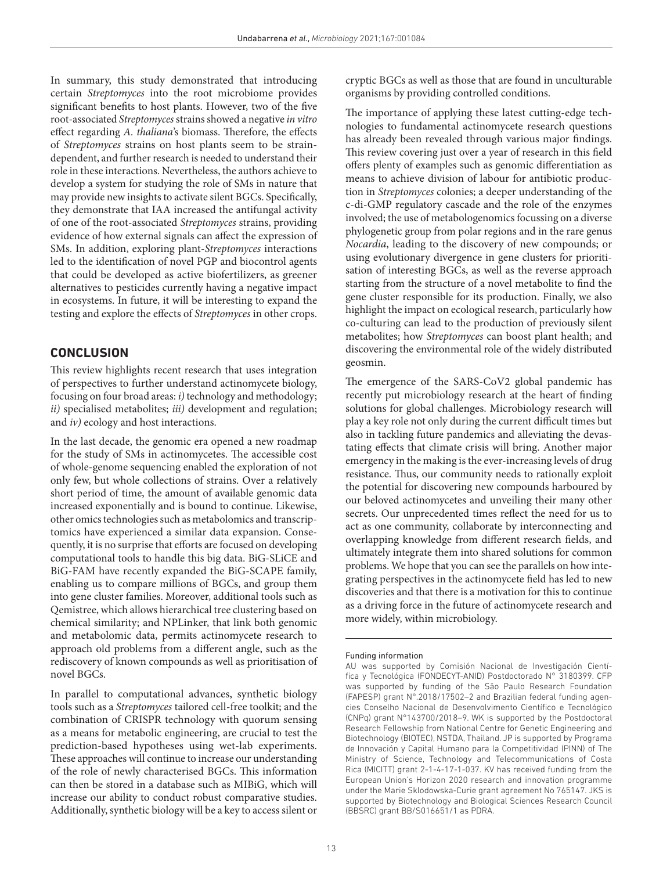In summary, this study demonstrated that introducing certain *Streptomyces* into the root microbiome provides significant benefits to host plants. However, two of the five root-associated *Streptomyces* strains showed a negative *in vitro* effect regarding *A. thaliana*'s biomass. Therefore, the effects of *Streptomyces* strains on host plants seem to be straindependent, and further research is needed to understand their role in these interactions. Nevertheless, the authors achieve to develop a system for studying the role of SMs in nature that may provide new insights to activate silent BGCs. Specifically, they demonstrate that IAA increased the antifungal activity of one of the root-associated *Streptomyces* strains, providing evidence of how external signals can affect the expression of SMs. In addition, exploring plant-*Streptomyces* interactions led to the identification of novel PGP and biocontrol agents that could be developed as active biofertilizers, as greener alternatives to pesticides currently having a negative impact in ecosystems. In future, it will be interesting to expand the testing and explore the effects of *Streptomyces* in other crops.

## **CONCLUSION**

This review highlights recent research that uses integration of perspectives to further understand actinomycete biology, focusing on four broad areas: *i)* technology and methodology; *ii)* specialised metabolites; *iii)* development and regulation; and *iv)* ecology and host interactions.

In the last decade, the genomic era opened a new roadmap for the study of SMs in actinomycetes. The accessible cost of whole-genome sequencing enabled the exploration of not only few, but whole collections of strains. Over a relatively short period of time, the amount of available genomic data increased exponentially and is bound to continue. Likewise, other omics technologies such as metabolomics and transcriptomics have experienced a similar data expansion. Consequently, it is no surprise that efforts are focused on developing computational tools to handle this big data. BiG-SLiCE and BiG-FAM have recently expanded the BiG-SCAPE family, enabling us to compare millions of BGCs, and group them into gene cluster families. Moreover, additional tools such as Qemistree, which allows hierarchical tree clustering based on chemical similarity; and NPLinker, that link both genomic and metabolomic data, permits actinomycete research to approach old problems from a different angle, such as the rediscovery of known compounds as well as prioritisation of novel BGCs.

In parallel to computational advances, synthetic biology tools such as a *Streptomyces* tailored cell-free toolkit; and the combination of CRISPR technology with quorum sensing as a means for metabolic engineering, are crucial to test the prediction-based hypotheses using wet-lab experiments. These approaches will continue to increase our understanding of the role of newly characterised BGCs. This information can then be stored in a database such as MIBiG, which will increase our ability to conduct robust comparative studies. Additionally, synthetic biology will be a key to access silent or

cryptic BGCs as well as those that are found in unculturable organisms by providing controlled conditions.

The importance of applying these latest cutting-edge technologies to fundamental actinomycete research questions has already been revealed through various major findings. This review covering just over a year of research in this field offers plenty of examples such as genomic differentiation as means to achieve division of labour for antibiotic production in *Streptomyces* colonies; a deeper understanding of the c-di-GMP regulatory cascade and the role of the enzymes involved; the use of metabologenomics focussing on a diverse phylogenetic group from polar regions and in the rare genus *Nocardia*, leading to the discovery of new compounds; or using evolutionary divergence in gene clusters for prioritisation of interesting BGCs, as well as the reverse approach starting from the structure of a novel metabolite to find the gene cluster responsible for its production. Finally, we also highlight the impact on ecological research, particularly how co-culturing can lead to the production of previously silent metabolites; how *Streptomyces* can boost plant health; and discovering the environmental role of the widely distributed geosmin.

The emergence of the SARS-CoV2 global pandemic has recently put microbiology research at the heart of finding solutions for global challenges. Microbiology research will play a key role not only during the current difficult times but also in tackling future pandemics and alleviating the devastating effects that climate crisis will bring. Another major emergency in the making is the ever-increasing levels of drug resistance. Thus, our community needs to rationally exploit the potential for discovering new compounds harboured by our beloved actinomycetes and unveiling their many other secrets. Our unprecedented times reflect the need for us to act as one community, collaborate by interconnecting and overlapping knowledge from different research fields, and ultimately integrate them into shared solutions for common problems. We hope that you can see the parallels on how integrating perspectives in the actinomycete field has led to new discoveries and that there is a motivation for this to continue as a driving force in the future of actinomycete research and more widely, within microbiology.

#### Funding information

AU was supported by Comisión Nacional de Investigación Científica y Tecnológica (FONDECYT-ANID) Postdoctorado N° 3180399. CFP was supported by funding of the São Paulo Research Foundation (FAPESP) grant N°.2018/17502–2 and Brazilian federal funding agencies Conselho Nacional de Desenvolvimento Científico e Tecnológico (CNPq) grant N°143700/2018–9. WK is supported by the Postdoctoral Research Fellowship from National Centre for Genetic Engineering and Biotechnology (BIOTEC), NSTDA, Thailand. JP is supported by Programa de Innovación y Capital Humano para la Competitividad (PINN) of The Ministry of Science, Technology and Telecommunications of Costa Rica (MICITT) grant 2-1-4-17-1-037. KV has received funding from the European Union's Horizon 2020 research and innovation programme under the Marie Sklodowska-Curie grant agreement No 765147. JKS is supported by Biotechnology and Biological Sciences Research Council (BBSRC) grant BB/S016651/1 as PDRA.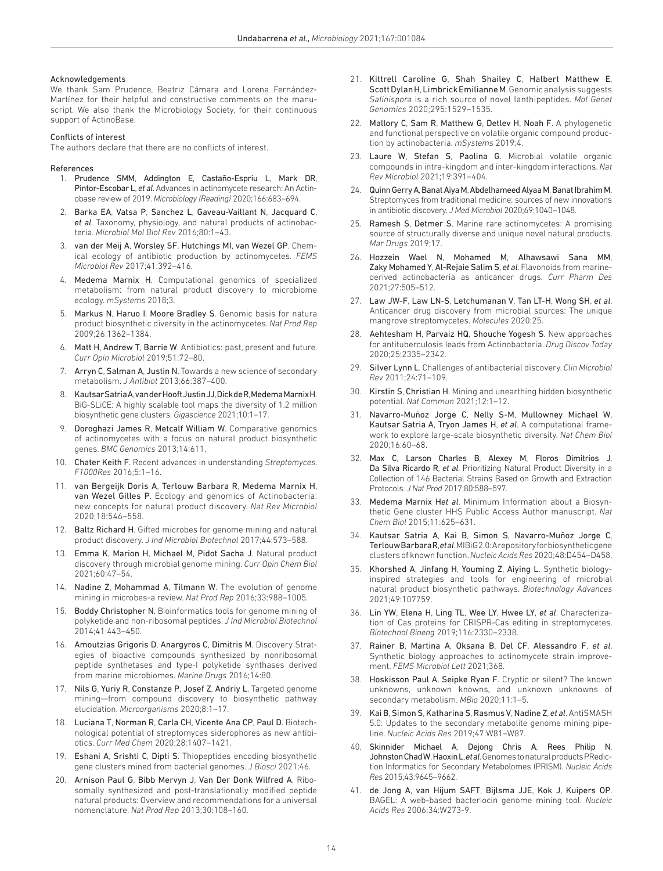#### Acknowledgements

We thank Sam Prudence, Beatriz Cámara and Lorena Fernández-Martínez for their helpful and constructive comments on the manuscript. We also thank the Microbiology Society, for their continuous support of ActinoBase.

#### Conflicts of interest

The authors declare that there are no conflicts of interest.

#### References

- <span id="page-13-0"></span>1. Prudence SMM, Addington E, Castaño-Espriu L, Mark DR, Pintor-Escobar L, *et al*. Advances in actinomycete research: An Actinobase review of 2019. *Microbiology (Reading)* 2020;166:683–694.
- <span id="page-13-1"></span>2. Barka EA, Vatsa P, Sanchez L, Gaveau-Vaillant N, Jacquard C, *et al*. Taxonomy, physiology, and natural products of actinobacteria. *Microbiol Mol Biol Rev* 2016;80:1–43.
- <span id="page-13-2"></span>3. van der Meij A, Worsley SF, Hutchings MI, van Wezel GP. Chemical ecology of antibiotic production by actinomycetes. *FEMS Microbiol Rev* 2017;41:392–416.
- <span id="page-13-3"></span>4. Medema Marnix H. Computational genomics of specialized metabolism: from natural product discovery to microbiome ecology. *mSystems* 2018;3.
- <span id="page-13-4"></span>5. Markus N, Haruo I, Moore Bradley S. Genomic basis for natura product biosynthetic diversity in the actinomycetes. *Nat Prod Rep* 2009;26:1362–1384.
- <span id="page-13-5"></span>6. Matt H, Andrew T, Barrie W. Antibiotics: past, present and future. *Curr Opin Microbiol* 2019;51:72–80.
- <span id="page-13-6"></span>7. Arryn C, Salman A, Justin N. Towards a new science of secondary metabolism. *J Antibiot* 2013;66:387–400.
- <span id="page-13-7"></span>8. Kautsar Satria A, van der Hooft Justin JJ, Dick de R, Medema Marnix H. BiG-SLiCE: A highly scalable tool maps the diversity of 1.2 million biosynthetic gene clusters. *Gigascience* 2021;10:1–17.
- Doroghazi James R, Metcalf William W. Comparative genomics of actinomycetes with a focus on natural product biosynthetic genes. *BMC Genomics* 2013;14:611.
- <span id="page-13-26"></span>10. Chater Keith F. Recent advances in understanding *Streptomyces*. *F1000Res* 2016;5:1–16.
- <span id="page-13-8"></span>11. van Bergeijk Doris A, Terlouw Barbara R, Medema Marnix H, van Wezel Gilles P. Ecology and genomics of Actinobacteria: new concepts for natural product discovery. *Nat Rev Microbiol* 2020;18:546–558.
- 12. Baltz Richard H. Gifted microbes for genome mining and natural product discovery. *J Ind Microbiol Biotechnol* 2017;44:573–588.
- 13. Emma K, Marion H, Michael M, Pidot Sacha J. Natural product discovery through microbial genome mining. *Curr Opin Chem Biol* 2021;60:47–54.
- 14. Nadine Z, Mohammad A, Tilmann W. The evolution of genome mining in microbes-a review. *Nat Prod Rep* 2016;33:988–1005.
- <span id="page-13-9"></span>15. Boddy Christopher N. Bioinformatics tools for genome mining of polyketide and non-ribosomal peptides. *J Ind Microbiol Biotechnol* 2014;41:443–450.
- 16. Amoutzias Grigoris D, Anargyros C, Dimitris M. Discovery Strategies of bioactive compounds synthesized by nonribosomal peptide synthetases and type-I polyketide synthases derived from marine microbiomes. *Marine Drugs* 2016;14:80.
- 17. Nils G, Yuriy R, Constanze P, Josef Z, Andriy L. Targeted genome mining—from compound discovery to biosynthetic pathway elucidation. *Microorganisms* 2020;8:1–17.
- 18. Luciana T, Norman R, Carla CH, Vicente Ana CP, Paul D. Biotechnological potential of streptomyces siderophores as new antibiotics. *Curr Med Chem* 2020;28:1407–1421.
- <span id="page-13-10"></span>19. Eshani A, Srishti C, Dipti S. Thiopeptides encoding biosynthetic gene clusters mined from bacterial genomes. *J Biosci* 2021;46.
- <span id="page-13-25"></span>20. Arnison Paul G, Bibb Mervyn J, Van Der Donk Wilfred A. Ribosomally synthesized and post-translationally modified peptide natural products: Overview and recommendations for a universal nomenclature. *Nat Prod Rep* 2013;30:108–160.
- 21. Kittrell Caroline G, Shah Shailey C, Halbert Matthew E, Scott Dylan H, Limbrick Emilianne M. Genomic analysis suggests *Salinispora* is a rich source of novel lanthipeptides. *Mol Genet Genomics* 2020;295:1529–1535.
- <span id="page-13-11"></span>22. Mallory C, Sam R, Matthew G, Detlev H, Noah F. A phylogenetic and functional perspective on volatile organic compound production by actinobacteria. *mSystems* 2019;4.
- 23. Laure W, Stefan S, Paolina G. Microbial volatile organic compounds in intra-kingdom and inter-kingdom interactions. *Nat Rev Microbiol* 2021;19:391–404.
- <span id="page-13-12"></span>24. Quinn Gerry A, Banat Aiya M, Abdelhameed Alyaa M, Banat Ibrahim M. Streptomyces from traditional medicine: sources of new innovations in antibiotic discovery. *J Med Microbiol* 2020;69:1040–1048.
- 25. Ramesh S, Detmer S. Marine rare actinomycetes: A promising source of structurally diverse and unique novel natural products. *Mar Drugs* 2019;17.
- 26. Hozzein Wael N, Mohamed M, Alhawsawi Sana MM, Zaky Mohamed Y, Al-Rejaie Salim S, *et al*. Flavonoids from marinederived actinobacteria as anticancer drugs. *Curr Pharm Des* 2021;27:505–512.
- 27. Law JW-F, Law LN-S, Letchumanan V, Tan LT-H, Wong SH, *et al*. Anticancer drug discovery from microbial sources: The unique mangrove streptomycetes. *Molecules* 2020;25.
- 28. Aehtesham H, Parvaiz HQ, Shouche Yogesh S. New approaches for antituberculosis leads from Actinobacteria. *Drug Discov Today* 2020;25:2335–2342.
- <span id="page-13-13"></span>29. Silver Lynn L. Challenges of antibacterial discovery. *Clin Microbiol Rev* 2011;24:71–109.
- 30. Kirstin S, Christian H. Mining and unearthing hidden biosynthetic potential. *Nat Commun* 2021;12:1–12.
- <span id="page-13-14"></span>31. Navarro-Muñoz Jorge C, Nelly S-M, Mullowney Michael W, Kautsar Satria A, Tryon James H, *et al*. A computational framework to explore large-scale biosynthetic diversity. *Nat Chem Biol* 2020;16:60–68.
- <span id="page-13-15"></span>32. Max C, Larson Charles B, Alexey M, Floros Dimitrios J, Da Silva Ricardo R, *et al*. Prioritizing Natural Product Diversity in a Collection of 146 Bacterial Strains Based on Growth and Extraction Protocols. *J Nat Prod* 2017;80:588–597.
- <span id="page-13-16"></span>33. Medema Marnix H*et al*. Minimum Information about a Biosynthetic Gene cluster HHS Public Access Author manuscript. *Nat Chem Biol* 2015;11:625–631.
- <span id="page-13-22"></span>34. Kautsar Satria A, Kai B, Simon S, Navarro-Muñoz Jorge C, Terlouw Barbara R, *et al*. MIBiG 2.0: A repository for biosynthetic gene clusters of known function. *Nucleic Acids Res* 2020;48:D454–D458.
- <span id="page-13-17"></span>35. Khorshed A, Jinfang H, Youming Z, Aiying L. Synthetic biologyinspired strategies and tools for engineering of microbial natural product biosynthetic pathways. *Biotechnology Advances* 2021;49:107759.
- <span id="page-13-23"></span>36. Lin YW, Elena H, Ling TL, Wee LY, Hwee LY, *et al*. Characterization of Cas proteins for CRISPR-Cas editing in streptomycetes. *Biotechnol Bioeng* 2019;116:2330–2338.
- <span id="page-13-24"></span>37. Rainer B, Martina A, Oksana B, Del CF, Alessandro F, *et al*. Synthetic biology approaches to actinomycete strain improvement. *FEMS Microbiol Lett* 2021;368.
- <span id="page-13-18"></span>38. Hoskisson Paul A, Seipke Ryan F. Cryptic or silent? The known unknowns, unknown knowns, and unknown unknowns of secondary metabolism. *MBio* 2020;11:1–5.
- <span id="page-13-19"></span>39. Kai B, Simon S, Katharina S, Rasmus V, Nadine Z, *et al*. AntiSMASH 5.0: Updates to the secondary metabolite genome mining pipeline. *Nucleic Acids Res* 2019;47:W81–W87.
- <span id="page-13-20"></span>40. Skinnider Michael A, Dejong Chris A, Rees Philip N, Johnston Chad W, Haoxin L, *et al*. Genomes to natural products PRediction Informatics for Secondary Metabolomes (PRISM). *Nucleic Acids Res* 2015;43:9645–9662.
- <span id="page-13-21"></span>41. de Jong A, van Hijum SAFT, Bijlsma JJE, Kok J, Kuipers OP. BAGEL: A web-based bacteriocin genome mining tool. *Nucleic Acids Res* 2006;34:W273-9.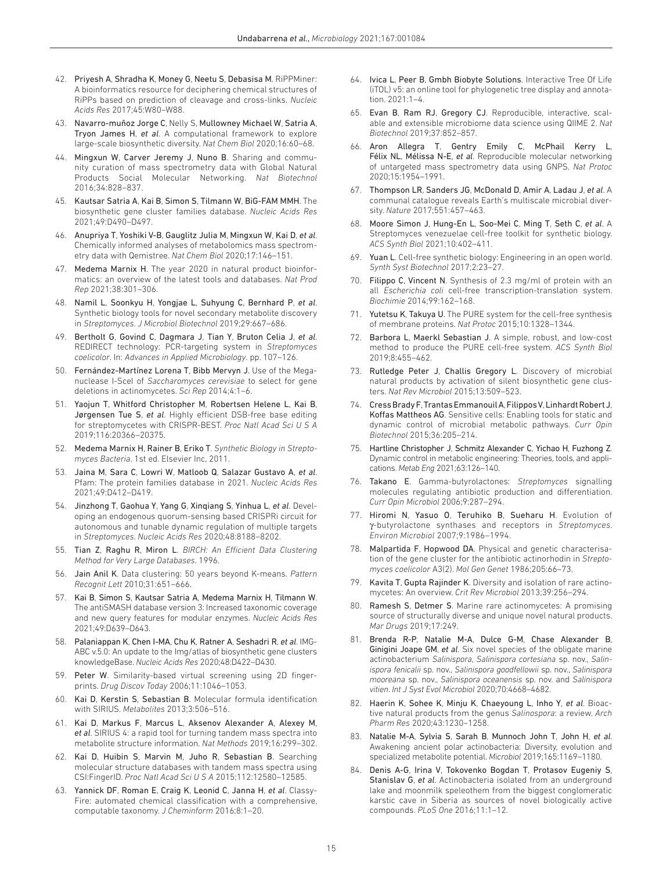- <span id="page-14-0"></span>42. Priyesh A, Shradha K, Money G, Neetu S, Debasisa M. RiPPMiner: A bioinformatics resource for deciphering chemical structures of RiPPs based on prediction of cleavage and cross-links. *Nucleic Acids Res* 2017;45:W80–W88.
- <span id="page-14-1"></span>43. Navarro-muñoz Jorge C, Nelly S, Mullowney Michael W, Satria A, Tryon James H, *et al*. A computational framework to explore large-scale biosynthetic diversity. *Nat Chem Biol* 2020;16:60–68.
- <span id="page-14-2"></span>44. Mingxun W, Carver Jeremy J, Nuno B. Sharing and community curation of mass spectrometry data with Global Natural Products Social Molecular Networking. *Nat Biotechnol* 2016;34:828–837.
- <span id="page-14-3"></span>45. Kautsar Satria A, Kai B, Simon S, Tilmann W, BiG-FAM MMH. The biosynthetic gene cluster families database. *Nucleic Acids Res* 2021;49:D490–D497.
- <span id="page-14-4"></span>46. Anupriya T, Yoshiki V-B, Gauglitz Julia M, Mingxun W, Kai D, *et al*. Chemically informed analyses of metabolomics mass spectrometry data with Qemistree. *Nat Chem Biol* 2020;17:146–151.
- <span id="page-14-5"></span>47. Medema Marnix H. The year 2020 in natural product bioinformatics: an overview of the latest tools and databases. *Nat Prod Rep* 2021;38:301–306.
- <span id="page-14-6"></span>48. Namil L, Soonkyu H, Yongjae L, Suhyung C, Bernhard P, *et al*. Synthetic biology tools for novel secondary metabolite discovery in *Streptomyces*. *J Microbiol Biotechnol* 2019;29:667–686.
- <span id="page-14-7"></span>49. Bertholt G, Govind C, Dagmara J, Tian Y, Bruton Celia J, *et al*. REDIRECT technology: PCR-targeting system in *Streptomyces coelicolor*. In: *Advances in Applied Microbiology*. pp. 107–126.
- <span id="page-14-8"></span>50. Fernández-Martínez Lorena T, Bibb Mervyn J. Use of the Meganuclease I-SceI of *Saccharomyces cerevisiae* to select for gene deletions in actinomycetes. *Sci Rep* 2014;4:1–6.
- <span id="page-14-9"></span>51. Yaojun T, Whitford Christopher M, Robertsen Helene L, Kai B, Jørgensen Tue S, *et al*. Highly efficient DSB-free base editing for streptomycetes with CRISPR-BEST. *Proc Natl Acad Sci U S A* 2019;116:20366–20375.
- <span id="page-14-10"></span>52. Medema Marnix H, Rainer B, Eriko T. *Synthetic Biology in Streptomyces Bacteria*. 1st ed. Elsevier Inc, 2011.
- <span id="page-14-11"></span>53. Jaina M, Sara C, Lowri W, Matloob Q, Salazar Gustavo A, *et al*. Pfam: The protein families database in 2021. *Nucleic Acids Res* 2021;49:D412–D419.
- <span id="page-14-12"></span>54. Jinzhong T, Gaohua Y, Yang G, Xinqiang S, Yinhua L, *et al*. Developing an endogenous quorum-sensing based CRISPRi circuit for autonomous and tunable dynamic regulation of multiple targets in *Streptomyces*. *Nucleic Acids Res* 2020;48:8188–8202.
- <span id="page-14-13"></span>55. Tian Z, Raghu R, Miron L. *BIRCH: An Efficient Data Clustering Method for Very Large Databases*. 1996.
- <span id="page-14-14"></span>56. Jain Anil K. Data clustering: 50 years beyond K-means. *Pattern Recognit Lett* 2010;31:651–666.
- <span id="page-14-15"></span>57. Kai B, Simon S, Kautsar Satria A, Medema Marnix H, Tilmann W. The antiSMASH database version 3: Increased taxonomic coverage and new query features for modular enzymes. *Nucleic Acids Res* 2021;49:D639–D643.
- <span id="page-14-16"></span>58. Palaniappan K, Chen I-MA, Chu K, Ratner A, Seshadri R, *et al*. IMG-ABC v.5.0: An update to the Img/atlas of biosynthetic gene clusters knowledgeBase. *Nucleic Acids Res* 2020;48:D422–D430.
- <span id="page-14-17"></span>59. Peter W. Similarity-based virtual screening using 2D fingerprints. *Drug Discov Today* 2006;11:1046–1053.
- <span id="page-14-18"></span>60. Kai D, Kerstin S, Sebastian B. Molecular formula identification with SIRIUS. *Metabolites* 2013;3:506–516.
- 61. Kai D, Markus F, Marcus L, Aksenov Alexander A, Alexey M, *et al*. SIRIUS 4: a rapid tool for turning tandem mass spectra into metabolite structure information. *Nat Methods* 2019;16:299–302.
- <span id="page-14-19"></span>62. Kai D, Huibin S, Marvin M, Juho R, Sebastian B. Searching molecular structure databases with tandem mass spectra using CSI:FingerID. *Proc Natl Acad Sci U S A* 2015;112:12580–12585.
- <span id="page-14-20"></span>63. Yannick DF, Roman E, Craig K, Leonid C, Janna H, *et al*. Classy-Fire: automated chemical classification with a comprehensive, computable taxonomy. *J Cheminform* 2016;8:1–20.
- <span id="page-14-21"></span>64. Ivica L, Peer B, Gmbh Biobyte Solutions. Interactive Tree Of Life (iTOL) v5: an online tool for phylogenetic tree display and annotation. 2021:1–4.
- <span id="page-14-22"></span>65. Evan B, Ram RJ, Gregory CJ. Reproducible, interactive, scalable and extensible microbiome data science using QIIME 2. *Nat Biotechnol* 2019;37:852–857.
- <span id="page-14-23"></span>66. Aron Allegra T, Gentry Emily C, McPhail Kerry L, Félix NL, Mélissa N-E, *et al*. Reproducible molecular networking of untargeted mass spectrometry data using GNPS. *Nat Protoc* 2020;15:1954–1991.
- <span id="page-14-24"></span>67. Thompson LR, Sanders JG, McDonald D, Amir A, Ladau J, *et al*. A communal catalogue reveals Earth's multiscale microbial diversity. *Nature* 2017;551:457–463.
- <span id="page-14-25"></span>68. Moore Simon J, Hung-En L, Soo-Mei C, Ming T, Seth C, *et al*. A Streptomyces venezuelae cell-free toolkit for synthetic biology. *ACS Synth Biol* 2021;10:402–411.
- <span id="page-14-26"></span>69. Yuan L. Cell-free synthetic biology: Engineering in an open world. *Synth Syst Biotechnol* 2017;2:23–27.
- <span id="page-14-27"></span>70. Filippo C, Vincent N. Synthesis of 2.3 mg/ml of protein with an all *Escherichia coli* cell-free transcription-translation system. *Biochimie* 2014;99:162–168.
- 71. Yutetsu K, Takuya U. The PURE system for the cell-free synthesis of membrane proteins. *Nat Protoc* 2015;10:1328–1344.
- 72. Barbora L, Maerkl Sebastian J. A simple, robust, and low-cost method to produce the PURE cell-free system. *ACS Synth Biol* 2019;8:455–462.
- <span id="page-14-28"></span>73. Rutledge Peter J, Challis Gregory L. Discovery of microbial natural products by activation of silent biosynthetic gene clusters. *Nat Rev Microbiol* 2015;13:509–523.
- <span id="page-14-29"></span>74. Cress Brady F, Trantas Emmanouil A, Filippos V, Linhardt Robert J, Koffas Mattheos AG. Sensitive cells: Enabling tools for static and dynamic control of microbial metabolic pathways. *Curr Opin Biotechnol* 2015;36:205–214.
- <span id="page-14-30"></span>75. Hartline Christopher J, Schmitz Alexander C, Yichao H, Fuzhong Z. Dynamic control in metabolic engineering: Theories, tools, and applications. *Metab Eng* 2021;63:126–140.
- <span id="page-14-31"></span>76. Takano E. Gamma-butyrolactones: *Streptomyces* signalling molecules regulating antibiotic production and differentiation. *Curr Opin Microbiol* 2006;9:287–294.
- <span id="page-14-32"></span>77. Hiromi N, Yasuo O, Teruhiko B, Sueharu H. Evolution of γ-butyrolactone synthases and receptors in *Streptomyces*. *Environ Microbiol* 2007;9:1986–1994.
- <span id="page-14-33"></span>78. Malpartida F, Hopwood DA. Physical and genetic characterisation of the gene cluster for the antibiotic actinorhodin in *Streptomyces coelicolor* A3(2). *Mol Gen Genet* 1986;205:66–73.
- <span id="page-14-34"></span>79. Kavita T, Gupta Rajinder K. Diversity and isolation of rare actinomycetes: An overview. *Crit Rev Microbiol* 2013;39:256–294.
- <span id="page-14-35"></span>80. Ramesh S, Detmer S. Marine rare actinomycetes: A promising source of structurally diverse and unique novel natural products. *Mar Drugs* 2019;17:249.
- <span id="page-14-36"></span>81. Brenda R-P, Natalie M-A, Dulce G-M, Chase Alexander B, Ginigini Joape GM, *et al*. Six novel species of the obligate marine actinobacterium *Salinispora*, *Salinispora cortesiana* sp. nov., *Salinispora fenicalii* sp. nov., *Salinispora goodfellowii* sp. nov., *Salinispora mooreana* sp. nov., *Salinispora oceanensis* sp. nov. and *Salinispora vitien*. *Int J Syst Evol Microbiol* 2020;70:4668–4682.
- 82. Haerin K, Sohee K, Minju K, Chaeyoung L, Inho Y, *et al*. Bioactive natural products from the genus *Salinospora*: a review. *Arch Pharm Res* 2020;43:1230–1258.
- <span id="page-14-37"></span>83. Natalie M-A, Sylvia S, Sarah B, Munnoch John T, John H, *et al*. Awakening ancient polar actinobacteria: Diversity, evolution and specialized metabolite potential. *Microbiol* 2019;165:1169–1180.
- <span id="page-14-38"></span>84. Denis A-G, Irina V, Tokovenko Bogdan T, Protasov Eugeniy S, Stanislav G, *et al*. Actinobacteria isolated from an underground lake and moonmilk speleothem from the biggest conglomeratic karstic cave in Siberia as sources of novel biologically active compounds. *PLoS One* 2016;11:1–12.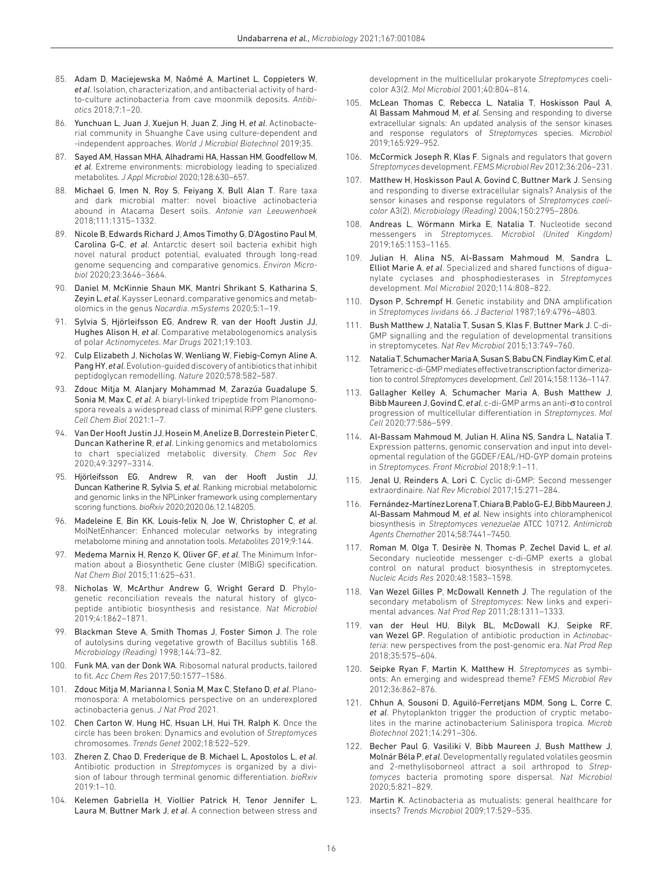- 85. Adam D, Maciejewska M, Naômé A, Martinet L, Coppieters W, *et al*. Isolation, characterization, and antibacterial activity of hardto-culture actinobacteria from cave moonmilk deposits. *Antibiotics* 2018;7:1–20.
- 86. Yunchuan L, Juan J, Xuejun H, Juan Z, Jing H, *et al*. Actinobacterial community in Shuanghe Cave using culture-dependent and -independent approaches. *World J Microbiol Biotechnol* 2019;35.
- <span id="page-15-0"></span>87. Sayed AM, Hassan MHA, Alhadrami HA, Hassan HM, Goodfellow M, *et al*. Extreme environments: microbiology leading to specialized metabolites. *J Appl Microbiol* 2020;128:630–657.
- 88. Michael G, Imen N, Roy S, Feiyang X, Bull Alan T. Rare taxa and dark microbial matter: novel bioactive actinobacteria abound in Atacama Desert soils. *Antonie van Leeuwenhoek* 2018;111:1315–1332.
- 89. Nicole B, Edwards Richard J, Amos Timothy G, D'Agostino Paul M, Carolina G-C, *et al*. Antarctic desert soil bacteria exhibit high novel natural product potential, evaluated through long-read genome sequencing and comparative genomics. *Environ Microbiol* 2020;23:3646–3664.
- <span id="page-15-1"></span>90. Daniel M, McKinnie Shaun MK, Mantri Shrikant S, Katharina S, Zeyin L, *et al*. Kaysser Leonard. comparative genomics and metabolomics in the genus *Nocardia*. *mSystems* 2020;5:1–19.
- <span id="page-15-2"></span>91. Sylvia S, Hjörleifsson EG, Andrew R, van der Hooft Justin JJ, Hughes Alison H, *et al*. Comparative metabologenomics analysis of polar *Actinomycetes*. *Mar Drugs* 2021;19:103.
- <span id="page-15-3"></span>92. Culp Elizabeth J, Nicholas W, Wenliang W, Fiebig-Comyn Aline A, Pang HY, *et al*. Evolution-guided discovery of antibiotics that inhibit peptidoglycan remodelling. *Nature* 2020;578:582–587.
- <span id="page-15-4"></span>Zdouc Mitja M, Alanjary Mohammad M, Zarazúa Guadalupe S, Sonia M, Max C, *et al*. A biaryl-linked tripeptide from Planomonospora reveals a widespread class of minimal RiPP gene clusters. *Cell Chem Biol* 2021:1–7.
- <span id="page-15-5"></span>94. Van Der Hooft Justin JJ, Hosein M, Anelize B, Dorrestein Pieter C, Duncan Katherine R, *et al*. Linking genomics and metabolomics to chart specialized metabolic diversity. *Chem Soc Rev* 2020;49:3297–3314.
- <span id="page-15-6"></span>95. Hjörleifsson EG, Andrew R, van der Hooft Justin JJ, Duncan Katherine R, Sylvia S, *et al*. Ranking microbial metabolomic and genomic links in the NPLinker framework using complementary scoring functions. *bioRxiv* 2020;2020.06.12.148205.
- <span id="page-15-7"></span>96. Madeleine E, Bin KK, Louis-felix N, Joe W, Christopher C, *et al*. MolNetEnhancer: Enhanced molecular networks by integrating metabolome mining and annotation tools. *Metabolites* 2019;9:144.
- <span id="page-15-8"></span>97. Medema Marnix H, Renzo K, Oliver GF, *et al*. The Minimum Information about a Biosynthetic Gene cluster (MIBiG) specification. *Nat Chem Biol* 2015;11:625–631.
- <span id="page-15-9"></span>98. Nicholas W, McArthur Andrew G, Wright Gerard D. Phylogenetic reconciliation reveals the natural history of glycopeptide antibiotic biosynthesis and resistance. *Nat Microbiol* 2019;4:1862–1871.
- <span id="page-15-10"></span>99. Blackman Steve A, Smith Thomas J, Foster Simon J. The role of autolysins during vegetative growth of Bacillus subtilis 168. *Microbiology (Reading)* 1998;144:73–82.
- <span id="page-15-11"></span>100. Funk MA, van der Donk WA. Ribosomal natural products, tailored to fit. *Acc Chem Res* 2017;50:1577–1586.
- <span id="page-15-12"></span>101. Zdouc Mitja M, Marianna I, Sonia M, Max C, Stefano D, *et al*. Planomonospora: A metabolomics perspective on an underexplored actinobacteria genus. *J Nat Prod* 2021.
- <span id="page-15-13"></span>102. Chen Carton W, Hung HC, Hsuan LH, Hui TH, Ralph K. Once the circle has been broken: Dynamics and evolution of *Streptomyces* chromosomes. *Trends Genet* 2002;18:522–529.
- <span id="page-15-14"></span>103. Zheren Z, Chao D, Frederique de B, Michael L, Apostolos L, *et al*. Antibiotic production in *Streptomyces* is organized by a division of labour through terminal genomic differentiation. *bioRxiv*  $2019.1 - 10$
- <span id="page-15-15"></span>104. Kelemen Gabriella H, Viollier Patrick H, Tenor Jennifer L, Laura M, Buttner Mark J, *et al*. A connection between stress and

development in the multicellular prokaryote *Streptomyces* coelicolor A3(2. *Mol Microbiol* 2001;40:804–814.

- <span id="page-15-16"></span>105. McLean Thomas C, Rebecca L, Natalia T, Hoskisson Paul A, Al Bassam Mahmoud M, *et al*. Sensing and responding to diverse extracellular signals: An updated analysis of the sensor kinases and response regulators of *Streptomyces* species. *Microbiol* 2019;165:929–952.
- 106. McCormick Joseph R, Klas F. Signals and regulators that govern *Streptomyces* development. *FEMS Microbiol Rev* 2012;36:206–231.
- 107. Matthew H, Hoskisson Paul A, Govind C, Buttner Mark J. Sensing and responding to diverse extracellular signals? Analysis of the sensor kinases and response regulators of *Streptomyces coelicolor* A3(2). *Microbiology (Reading)* 2004;150:2795–2806.
- <span id="page-15-17"></span>108. Andreas L, Wörmann Mirka E, Natalia T. Nucleotide second messengers in *Streptomyces*. *Microbiol (United Kingdom)* 2019;165:1153–1165.
- <span id="page-15-18"></span>109. Julian H, Alina NS, Al-Bassam Mahmoud M, Sandra L, Elliot Marie A, *et al*. Specialized and shared functions of diguanylate cyclases and phosphodiesterases in *Streptomyces* development. *Mol Microbiol* 2020;114:808–822.
- <span id="page-15-19"></span>110. Dyson P, Schrempf H. Genetic instability and DNA amplification in *Streptomyces lividans* 66. *J Bacteriol* 1987;169:4796–4803.
- <span id="page-15-20"></span>111. Bush Matthew J, Natalia T, Susan S, Klas F, Buttner Mark J. C-di-GMP signalling and the regulation of developmental transitions in streptomycetes. *Nat Rev Microbiol* 2015;13:749–760.
- <span id="page-15-21"></span>112. Natalia T, Schumacher Maria A, Susan S, Babu CN, Findlay Kim C, *et al*. Tetrameric c-di-GMP mediates effective transcription factor dimerization to control *Streptomyces* development. *Cell* 2014;158:1136–1147.
- <span id="page-15-22"></span>113. Gallagher Kelley A, Schumacher Maria A, Bush Matthew J, Bibb Maureen J, Govind C, *et al*. c-di-GMP arms an anti-σ to control progression of multicellular differentiation in *Streptomyces*. *Mol Cell* 2020;77:586–599.
- <span id="page-15-23"></span>114. Al-Bassam Mahmoud M, Julian H, Alina NS, Sandra L, Natalia T. Expression patterns, genomic conservation and input into developmental regulation of the GGDEF/EAL/HD-GYP domain proteins in *Streptomyces*. *Front Microbiol* 2018;9:1–11.
- <span id="page-15-24"></span>115. Jenal U, Reinders A, Lori C. Cyclic di-GMP: Second messenger extraordinaire. *Nat Rev Microbiol* 2017;15:271–284.
- <span id="page-15-25"></span>116. Fernández-Martínez Lorena T, Chiara B, Pablo G-EJ, Bibb Maureen J, Al-Bassam Mahmoud M, *et al*. New insights into chloramphenicol biosynthesis in *Streptomyces venezuelae* ATCC 10712. *Antimicrob Agents Chemother* 2014;58:7441–7450.
- <span id="page-15-26"></span>117. Roman M, Olga T, Desirèe N, Thomas P, Zechel David L, *et al*. Secondary nucleotide messenger c-di-GMP exerts a global control on natural product biosynthesis in streptomycetes. *Nucleic Acids Res* 2020;48:1583–1598.
- <span id="page-15-27"></span>118. Van Wezel Gilles P, McDowall Kenneth J. The regulation of the secondary metabolism of *Streptomyces*: New links and experimental advances. *Nat Prod Rep* 2011;28:1311–1333.
- 119. van der Heul HU, Bilyk BL, McDowall KJ, Seipke RF, van Wezel GP. Regulation of antibiotic production in *Actinobacteria*: new perspectives from the post-genomic era. *Nat Prod Rep* 2018;35:575–604.
- <span id="page-15-28"></span>120. Seipke Ryan F, Martin K, Matthew H. *Streptomyces* as symbionts: An emerging and widespread theme? *FEMS Microbiol Rev* 2012;36:862–876.
- <span id="page-15-29"></span>121. Chhun A, Sousoni D, Aguiló-Ferretjans MDM, Song L, Corre C, *et al*. Phytoplankton trigger the production of cryptic metabolites in the marine actinobacterium Salinispora tropica. *Microb Biotechnol* 2021;14:291–306.
- <span id="page-15-30"></span>122. Becher Paul G, Vasiliki V, Bibb Maureen J, Bush Matthew J, Molnár Béla P, *et al*. Developmentally regulated volatiles geosmin and 2-methylisoborneol attract a soil arthropod to *Streptomyces* bacteria promoting spore dispersal. *Nat Microbiol* 2020;5:821–829.
- <span id="page-15-31"></span>123. Martin K. Actinobacteria as mutualists: general healthcare for insects? *Trends Microbiol* 2009;17:529–535.